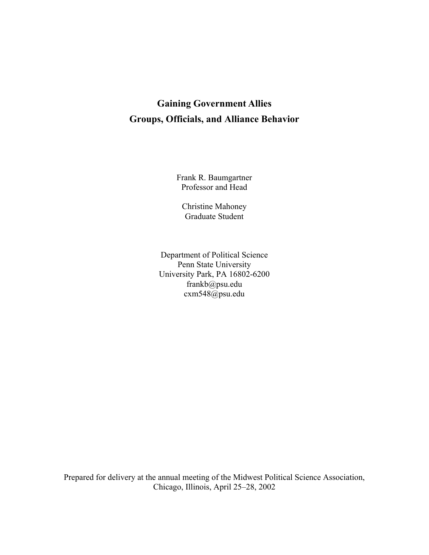# **Gaining Government Allies Groups, Officials, and Alliance Behavior**

Frank R. Baumgartner Professor and Head

Christine Mahoney Graduate Student

Department of Political Science Penn State University University Park, PA 16802-6200 frankb@psu.edu cxm548@psu.edu

Prepared for delivery at the annual meeting of the Midwest Political Science Association, Chicago, Illinois, April 25–28, 2002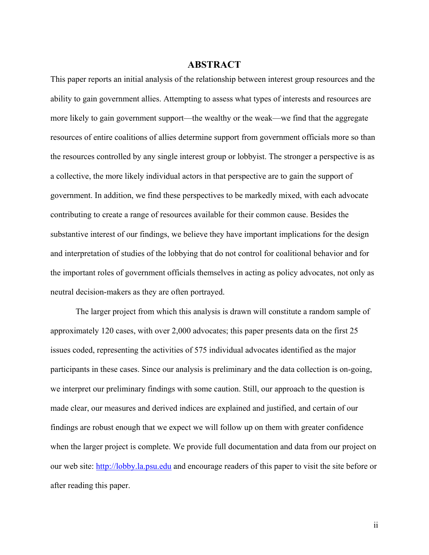## **ABSTRACT**

This paper reports an initial analysis of the relationship between interest group resources and the ability to gain government allies. Attempting to assess what types of interests and resources are more likely to gain government support—the wealthy or the weak—we find that the aggregate resources of entire coalitions of allies determine support from government officials more so than the resources controlled by any single interest group or lobbyist. The stronger a perspective is as a collective, the more likely individual actors in that perspective are to gain the support of government. In addition, we find these perspectives to be markedly mixed, with each advocate contributing to create a range of resources available for their common cause. Besides the substantive interest of our findings, we believe they have important implications for the design and interpretation of studies of the lobbying that do not control for coalitional behavior and for the important roles of government officials themselves in acting as policy advocates, not only as neutral decision-makers as they are often portrayed.

The larger project from which this analysis is drawn will constitute a random sample of approximately 120 cases, with over 2,000 advocates; this paper presents data on the first 25 issues coded, representing the activities of 575 individual advocates identified as the major participants in these cases. Since our analysis is preliminary and the data collection is on-going, we interpret our preliminary findings with some caution. Still, our approach to the question is made clear, our measures and derived indices are explained and justified, and certain of our findings are robust enough that we expect we will follow up on them with greater confidence when the larger project is complete. We provide full documentation and data from our project on our web site: http://lobby.la.psu.edu and encourage readers of this paper to visit the site before or after reading this paper.

ii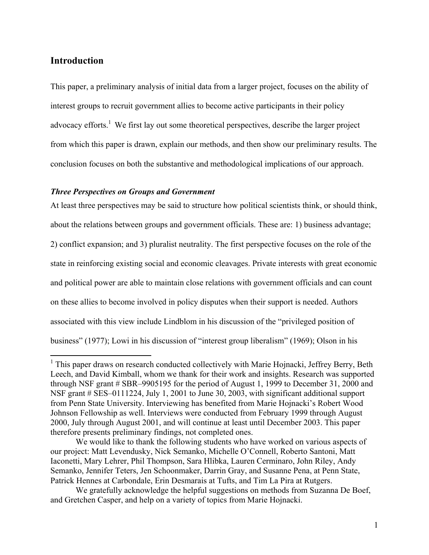## **Introduction**

 $\overline{a}$ 

This paper, a preliminary analysis of initial data from a larger project, focuses on the ability of interest groups to recruit government allies to become active participants in their policy advocacy efforts.<sup>1</sup> We first lay out some theoretical perspectives, describe the larger project from which this paper is drawn, explain our methods, and then show our preliminary results. The conclusion focuses on both the substantive and methodological implications of our approach.

### *Three Perspectives on Groups and Government*

At least three perspectives may be said to structure how political scientists think, or should think, about the relations between groups and government officials. These are: 1) business advantage; 2) conflict expansion; and 3) pluralist neutrality. The first perspective focuses on the role of the state in reinforcing existing social and economic cleavages. Private interests with great economic and political power are able to maintain close relations with government officials and can count on these allies to become involved in policy disputes when their support is needed. Authors associated with this view include Lindblom in his discussion of the "privileged position of business" (1977); Lowi in his discussion of "interest group liberalism" (1969); Olson in his

<sup>&</sup>lt;sup>1</sup> This paper draws on research conducted collectively with Marie Hojnacki, Jeffrey Berry, Beth Leech, and David Kimball, whom we thank for their work and insights. Research was supported through NSF grant # SBR–9905195 for the period of August 1, 1999 to December 31, 2000 and NSF grant # SES–0111224, July 1, 2001 to June 30, 2003, with significant additional support from Penn State University. Interviewing has benefited from Marie Hojnacki's Robert Wood Johnson Fellowship as well. Interviews were conducted from February 1999 through August 2000, July through August 2001, and will continue at least until December 2003. This paper therefore presents preliminary findings, not completed ones.

We would like to thank the following students who have worked on various aspects of our project: Matt Levendusky, Nick Semanko, Michelle O'Connell, Roberto Santoni, Matt Iaconetti, Mary Lehrer, Phil Thompson, Sara Hlibka, Lauren Cerminaro, John Riley, Andy Semanko, Jennifer Teters, Jen Schoonmaker, Darrin Gray, and Susanne Pena, at Penn State, Patrick Hennes at Carbondale, Erin Desmarais at Tufts, and Tim La Pira at Rutgers.

We gratefully acknowledge the helpful suggestions on methods from Suzanna De Boef, and Gretchen Casper, and help on a variety of topics from Marie Hojnacki.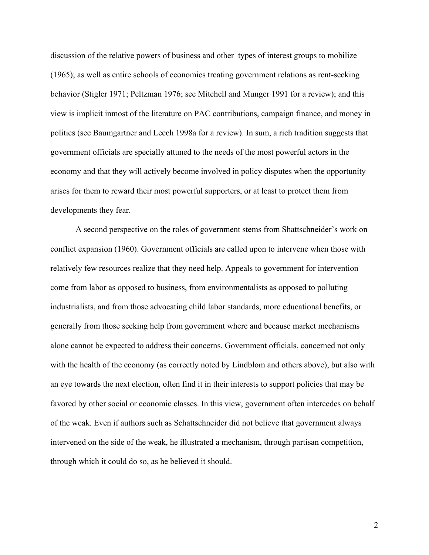discussion of the relative powers of business and other types of interest groups to mobilize (1965); as well as entire schools of economics treating government relations as rent-seeking behavior (Stigler 1971; Peltzman 1976; see Mitchell and Munger 1991 for a review); and this view is implicit inmost of the literature on PAC contributions, campaign finance, and money in politics (see Baumgartner and Leech 1998a for a review). In sum, a rich tradition suggests that government officials are specially attuned to the needs of the most powerful actors in the economy and that they will actively become involved in policy disputes when the opportunity arises for them to reward their most powerful supporters, or at least to protect them from developments they fear.

A second perspective on the roles of government stems from Shattschneider's work on conflict expansion (1960). Government officials are called upon to intervene when those with relatively few resources realize that they need help. Appeals to government for intervention come from labor as opposed to business, from environmentalists as opposed to polluting industrialists, and from those advocating child labor standards, more educational benefits, or generally from those seeking help from government where and because market mechanisms alone cannot be expected to address their concerns. Government officials, concerned not only with the health of the economy (as correctly noted by Lindblom and others above), but also with an eye towards the next election, often find it in their interests to support policies that may be favored by other social or economic classes. In this view, government often intercedes on behalf of the weak. Even if authors such as Schattschneider did not believe that government always intervened on the side of the weak, he illustrated a mechanism, through partisan competition, through which it could do so, as he believed it should.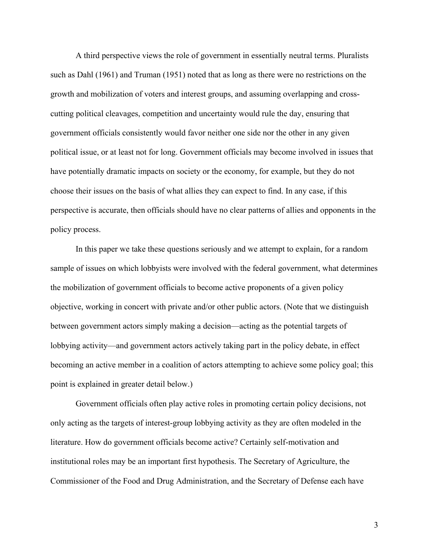A third perspective views the role of government in essentially neutral terms. Pluralists such as Dahl (1961) and Truman (1951) noted that as long as there were no restrictions on the growth and mobilization of voters and interest groups, and assuming overlapping and crosscutting political cleavages, competition and uncertainty would rule the day, ensuring that government officials consistently would favor neither one side nor the other in any given political issue, or at least not for long. Government officials may become involved in issues that have potentially dramatic impacts on society or the economy, for example, but they do not choose their issues on the basis of what allies they can expect to find. In any case, if this perspective is accurate, then officials should have no clear patterns of allies and opponents in the policy process.

In this paper we take these questions seriously and we attempt to explain, for a random sample of issues on which lobbyists were involved with the federal government, what determines the mobilization of government officials to become active proponents of a given policy objective, working in concert with private and/or other public actors. (Note that we distinguish between government actors simply making a decision—acting as the potential targets of lobbying activity—and government actors actively taking part in the policy debate, in effect becoming an active member in a coalition of actors attempting to achieve some policy goal; this point is explained in greater detail below.)

Government officials often play active roles in promoting certain policy decisions, not only acting as the targets of interest-group lobbying activity as they are often modeled in the literature. How do government officials become active? Certainly self-motivation and institutional roles may be an important first hypothesis. The Secretary of Agriculture, the Commissioner of the Food and Drug Administration, and the Secretary of Defense each have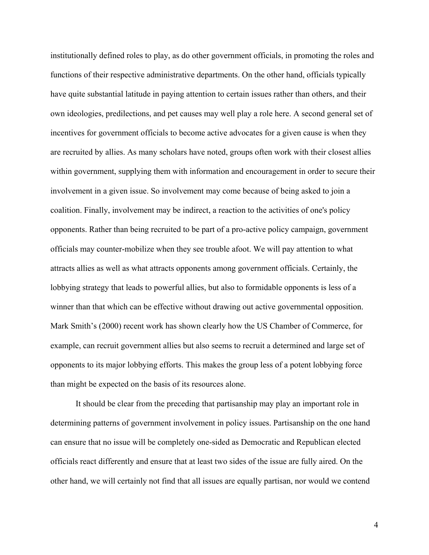institutionally defined roles to play, as do other government officials, in promoting the roles and functions of their respective administrative departments. On the other hand, officials typically have quite substantial latitude in paying attention to certain issues rather than others, and their own ideologies, predilections, and pet causes may well play a role here. A second general set of incentives for government officials to become active advocates for a given cause is when they are recruited by allies. As many scholars have noted, groups often work with their closest allies within government, supplying them with information and encouragement in order to secure their involvement in a given issue. So involvement may come because of being asked to join a coalition. Finally, involvement may be indirect, a reaction to the activities of one's policy opponents. Rather than being recruited to be part of a pro-active policy campaign, government officials may counter-mobilize when they see trouble afoot. We will pay attention to what attracts allies as well as what attracts opponents among government officials. Certainly, the lobbying strategy that leads to powerful allies, but also to formidable opponents is less of a winner than that which can be effective without drawing out active governmental opposition. Mark Smith's (2000) recent work has shown clearly how the US Chamber of Commerce, for example, can recruit government allies but also seems to recruit a determined and large set of opponents to its major lobbying efforts. This makes the group less of a potent lobbying force than might be expected on the basis of its resources alone.

It should be clear from the preceding that partisanship may play an important role in determining patterns of government involvement in policy issues. Partisanship on the one hand can ensure that no issue will be completely one-sided as Democratic and Republican elected officials react differently and ensure that at least two sides of the issue are fully aired. On the other hand, we will certainly not find that all issues are equally partisan, nor would we contend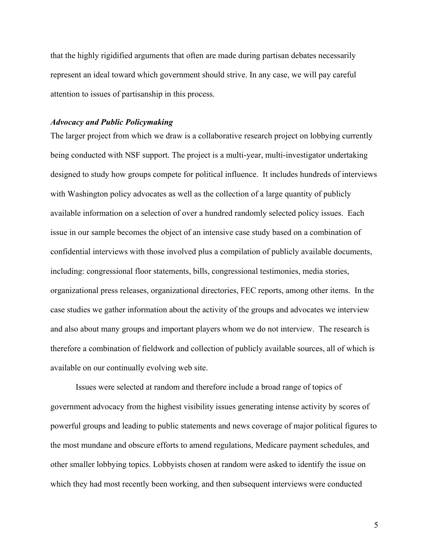that the highly rigidified arguments that often are made during partisan debates necessarily represent an ideal toward which government should strive. In any case, we will pay careful attention to issues of partisanship in this process.

## *Advocacy and Public Policymaking*

The larger project from which we draw is a collaborative research project on lobbying currently being conducted with NSF support. The project is a multi-year, multi-investigator undertaking designed to study how groups compete for political influence. It includes hundreds of interviews with Washington policy advocates as well as the collection of a large quantity of publicly available information on a selection of over a hundred randomly selected policy issues. Each issue in our sample becomes the object of an intensive case study based on a combination of confidential interviews with those involved plus a compilation of publicly available documents, including: congressional floor statements, bills, congressional testimonies, media stories, organizational press releases, organizational directories, FEC reports, among other items. In the case studies we gather information about the activity of the groups and advocates we interview and also about many groups and important players whom we do not interview. The research is therefore a combination of fieldwork and collection of publicly available sources, all of which is available on our continually evolving web site.

Issues were selected at random and therefore include a broad range of topics of government advocacy from the highest visibility issues generating intense activity by scores of powerful groups and leading to public statements and news coverage of major political figures to the most mundane and obscure efforts to amend regulations, Medicare payment schedules, and other smaller lobbying topics. Lobbyists chosen at random were asked to identify the issue on which they had most recently been working, and then subsequent interviews were conducted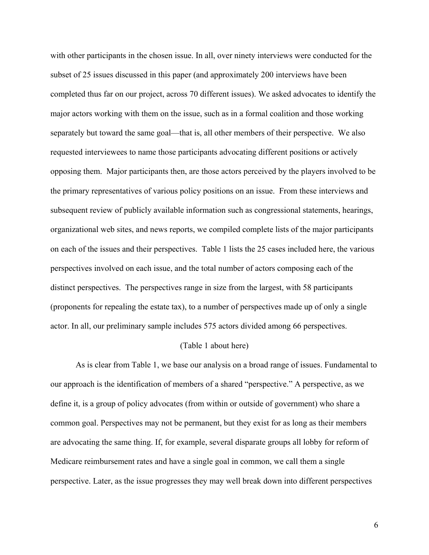with other participants in the chosen issue. In all, over ninety interviews were conducted for the subset of 25 issues discussed in this paper (and approximately 200 interviews have been completed thus far on our project, across 70 different issues). We asked advocates to identify the major actors working with them on the issue, such as in a formal coalition and those working separately but toward the same goal—that is, all other members of their perspective. We also requested interviewees to name those participants advocating different positions or actively opposing them. Major participants then, are those actors perceived by the players involved to be the primary representatives of various policy positions on an issue. From these interviews and subsequent review of publicly available information such as congressional statements, hearings, organizational web sites, and news reports, we compiled complete lists of the major participants on each of the issues and their perspectives. Table 1 lists the 25 cases included here, the various perspectives involved on each issue, and the total number of actors composing each of the distinct perspectives. The perspectives range in size from the largest, with 58 participants (proponents for repealing the estate tax), to a number of perspectives made up of only a single actor. In all, our preliminary sample includes 575 actors divided among 66 perspectives.

## (Table 1 about here)

As is clear from Table 1, we base our analysis on a broad range of issues. Fundamental to our approach is the identification of members of a shared "perspective." A perspective, as we define it, is a group of policy advocates (from within or outside of government) who share a common goal. Perspectives may not be permanent, but they exist for as long as their members are advocating the same thing. If, for example, several disparate groups all lobby for reform of Medicare reimbursement rates and have a single goal in common, we call them a single perspective. Later, as the issue progresses they may well break down into different perspectives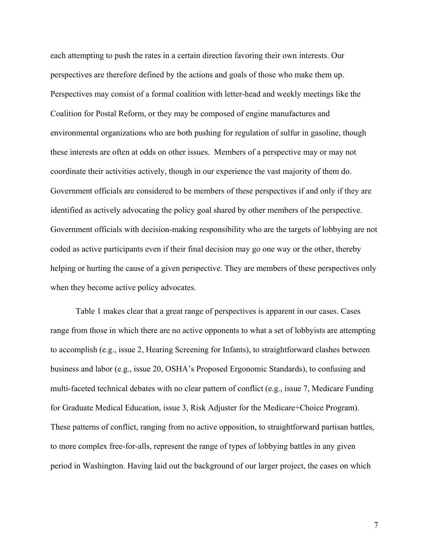each attempting to push the rates in a certain direction favoring their own interests. Our perspectives are therefore defined by the actions and goals of those who make them up. Perspectives may consist of a formal coalition with letter-head and weekly meetings like the Coalition for Postal Reform, or they may be composed of engine manufactures and environmental organizations who are both pushing for regulation of sulfur in gasoline, though these interests are often at odds on other issues. Members of a perspective may or may not coordinate their activities actively, though in our experience the vast majority of them do. Government officials are considered to be members of these perspectives if and only if they are identified as actively advocating the policy goal shared by other members of the perspective. Government officials with decision-making responsibility who are the targets of lobbying are not coded as active participants even if their final decision may go one way or the other, thereby helping or hurting the cause of a given perspective. They are members of these perspectives only when they become active policy advocates.

Table 1 makes clear that a great range of perspectives is apparent in our cases. Cases range from those in which there are no active opponents to what a set of lobbyists are attempting to accomplish (e.g., issue 2, Hearing Screening for Infants), to straightforward clashes between business and labor (e.g., issue 20, OSHA's Proposed Ergonomic Standards), to confusing and multi-faceted technical debates with no clear pattern of conflict (e.g., issue 7, Medicare Funding for Graduate Medical Education, issue 3, Risk Adjuster for the Medicare+Choice Program). These patterns of conflict, ranging from no active opposition, to straightforward partisan battles, to more complex free-for-alls, represent the range of types of lobbying battles in any given period in Washington. Having laid out the background of our larger project, the cases on which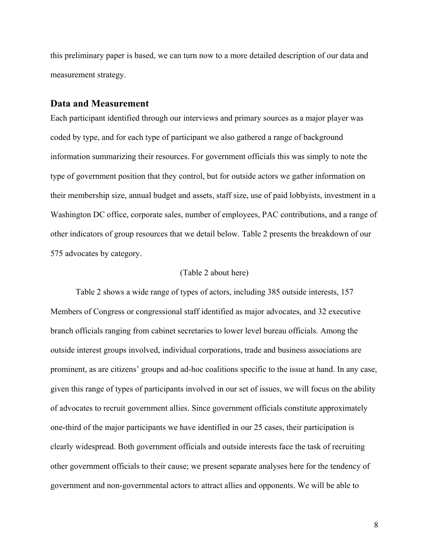this preliminary paper is based, we can turn now to a more detailed description of our data and measurement strategy.

## **Data and Measurement**

Each participant identified through our interviews and primary sources as a major player was coded by type, and for each type of participant we also gathered a range of background information summarizing their resources. For government officials this was simply to note the type of government position that they control, but for outside actors we gather information on their membership size, annual budget and assets, staff size, use of paid lobbyists, investment in a Washington DC office, corporate sales, number of employees, PAC contributions, and a range of other indicators of group resources that we detail below. Table 2 presents the breakdown of our 575 advocates by category.

#### (Table 2 about here)

Table 2 shows a wide range of types of actors, including 385 outside interests, 157 Members of Congress or congressional staff identified as major advocates, and 32 executive branch officials ranging from cabinet secretaries to lower level bureau officials. Among the outside interest groups involved, individual corporations, trade and business associations are prominent, as are citizens' groups and ad-hoc coalitions specific to the issue at hand. In any case, given this range of types of participants involved in our set of issues, we will focus on the ability of advocates to recruit government allies. Since government officials constitute approximately one-third of the major participants we have identified in our 25 cases, their participation is clearly widespread. Both government officials and outside interests face the task of recruiting other government officials to their cause; we present separate analyses here for the tendency of government and non-governmental actors to attract allies and opponents. We will be able to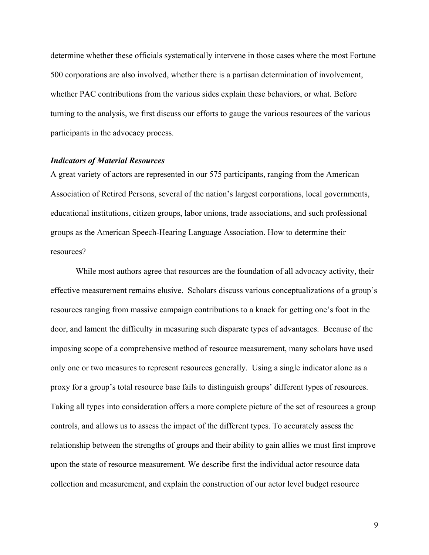determine whether these officials systematically intervene in those cases where the most Fortune 500 corporations are also involved, whether there is a partisan determination of involvement, whether PAC contributions from the various sides explain these behaviors, or what. Before turning to the analysis, we first discuss our efforts to gauge the various resources of the various participants in the advocacy process.

#### *Indicators of Material Resources*

A great variety of actors are represented in our 575 participants, ranging from the American Association of Retired Persons, several of the nation's largest corporations, local governments, educational institutions, citizen groups, labor unions, trade associations, and such professional groups as the American Speech-Hearing Language Association. How to determine their resources?

While most authors agree that resources are the foundation of all advocacy activity, their effective measurement remains elusive. Scholars discuss various conceptualizations of a group's resources ranging from massive campaign contributions to a knack for getting one's foot in the door, and lament the difficulty in measuring such disparate types of advantages. Because of the imposing scope of a comprehensive method of resource measurement, many scholars have used only one or two measures to represent resources generally. Using a single indicator alone as a proxy for a group's total resource base fails to distinguish groups' different types of resources. Taking all types into consideration offers a more complete picture of the set of resources a group controls, and allows us to assess the impact of the different types. To accurately assess the relationship between the strengths of groups and their ability to gain allies we must first improve upon the state of resource measurement. We describe first the individual actor resource data collection and measurement, and explain the construction of our actor level budget resource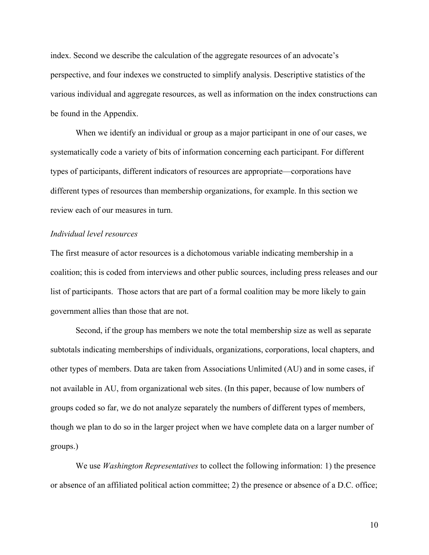index. Second we describe the calculation of the aggregate resources of an advocate's perspective, and four indexes we constructed to simplify analysis. Descriptive statistics of the various individual and aggregate resources, as well as information on the index constructions can be found in the Appendix.

When we identify an individual or group as a major participant in one of our cases, we systematically code a variety of bits of information concerning each participant. For different types of participants, different indicators of resources are appropriate—corporations have different types of resources than membership organizations, for example. In this section we review each of our measures in turn.

#### *Individual level resources*

The first measure of actor resources is a dichotomous variable indicating membership in a coalition; this is coded from interviews and other public sources, including press releases and our list of participants. Those actors that are part of a formal coalition may be more likely to gain government allies than those that are not.

Second, if the group has members we note the total membership size as well as separate subtotals indicating memberships of individuals, organizations, corporations, local chapters, and other types of members. Data are taken from Associations Unlimited (AU) and in some cases, if not available in AU, from organizational web sites. (In this paper, because of low numbers of groups coded so far, we do not analyze separately the numbers of different types of members, though we plan to do so in the larger project when we have complete data on a larger number of groups.)

We use *Washington Representatives* to collect the following information: 1) the presence or absence of an affiliated political action committee; 2) the presence or absence of a D.C. office;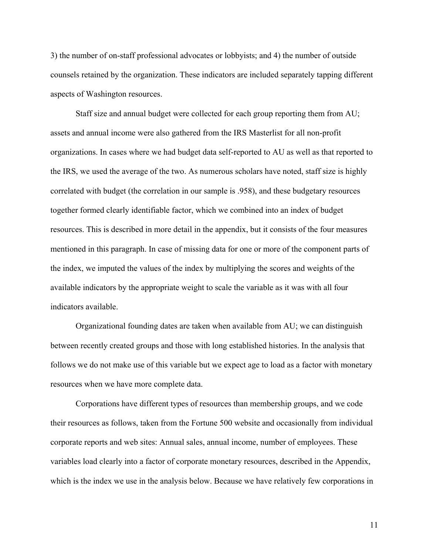3) the number of on-staff professional advocates or lobbyists; and 4) the number of outside counsels retained by the organization. These indicators are included separately tapping different aspects of Washington resources.

Staff size and annual budget were collected for each group reporting them from AU; assets and annual income were also gathered from the IRS Masterlist for all non-profit organizations. In cases where we had budget data self-reported to AU as well as that reported to the IRS, we used the average of the two. As numerous scholars have noted, staff size is highly correlated with budget (the correlation in our sample is .958), and these budgetary resources together formed clearly identifiable factor, which we combined into an index of budget resources. This is described in more detail in the appendix, but it consists of the four measures mentioned in this paragraph. In case of missing data for one or more of the component parts of the index, we imputed the values of the index by multiplying the scores and weights of the available indicators by the appropriate weight to scale the variable as it was with all four indicators available.

Organizational founding dates are taken when available from AU; we can distinguish between recently created groups and those with long established histories. In the analysis that follows we do not make use of this variable but we expect age to load as a factor with monetary resources when we have more complete data.

Corporations have different types of resources than membership groups, and we code their resources as follows, taken from the Fortune 500 website and occasionally from individual corporate reports and web sites: Annual sales, annual income, number of employees. These variables load clearly into a factor of corporate monetary resources, described in the Appendix, which is the index we use in the analysis below. Because we have relatively few corporations in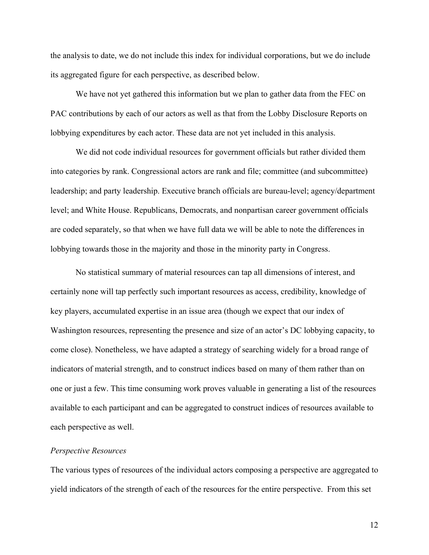the analysis to date, we do not include this index for individual corporations, but we do include its aggregated figure for each perspective, as described below.

We have not yet gathered this information but we plan to gather data from the FEC on PAC contributions by each of our actors as well as that from the Lobby Disclosure Reports on lobbying expenditures by each actor. These data are not yet included in this analysis.

We did not code individual resources for government officials but rather divided them into categories by rank. Congressional actors are rank and file; committee (and subcommittee) leadership; and party leadership. Executive branch officials are bureau-level; agency/department level; and White House. Republicans, Democrats, and nonpartisan career government officials are coded separately, so that when we have full data we will be able to note the differences in lobbying towards those in the majority and those in the minority party in Congress.

No statistical summary of material resources can tap all dimensions of interest, and certainly none will tap perfectly such important resources as access, credibility, knowledge of key players, accumulated expertise in an issue area (though we expect that our index of Washington resources, representing the presence and size of an actor's DC lobbying capacity, to come close). Nonetheless, we have adapted a strategy of searching widely for a broad range of indicators of material strength, and to construct indices based on many of them rather than on one or just a few. This time consuming work proves valuable in generating a list of the resources available to each participant and can be aggregated to construct indices of resources available to each perspective as well.

## *Perspective Resources*

The various types of resources of the individual actors composing a perspective are aggregated to yield indicators of the strength of each of the resources for the entire perspective. From this set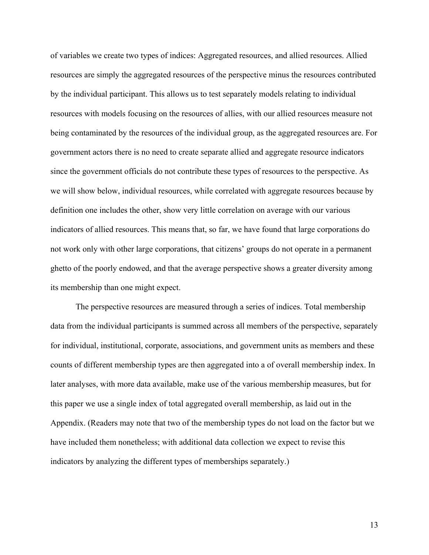of variables we create two types of indices: Aggregated resources, and allied resources. Allied resources are simply the aggregated resources of the perspective minus the resources contributed by the individual participant. This allows us to test separately models relating to individual resources with models focusing on the resources of allies, with our allied resources measure not being contaminated by the resources of the individual group, as the aggregated resources are. For government actors there is no need to create separate allied and aggregate resource indicators since the government officials do not contribute these types of resources to the perspective. As we will show below, individual resources, while correlated with aggregate resources because by definition one includes the other, show very little correlation on average with our various indicators of allied resources. This means that, so far, we have found that large corporations do not work only with other large corporations, that citizens' groups do not operate in a permanent ghetto of the poorly endowed, and that the average perspective shows a greater diversity among its membership than one might expect.

The perspective resources are measured through a series of indices. Total membership data from the individual participants is summed across all members of the perspective, separately for individual, institutional, corporate, associations, and government units as members and these counts of different membership types are then aggregated into a of overall membership index. In later analyses, with more data available, make use of the various membership measures, but for this paper we use a single index of total aggregated overall membership, as laid out in the Appendix. (Readers may note that two of the membership types do not load on the factor but we have included them nonetheless; with additional data collection we expect to revise this indicators by analyzing the different types of memberships separately.)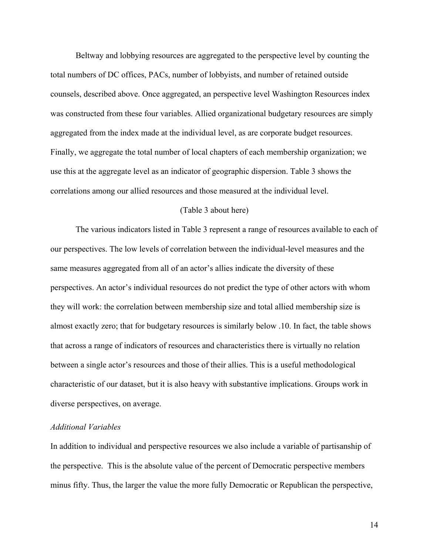Beltway and lobbying resources are aggregated to the perspective level by counting the total numbers of DC offices, PACs, number of lobbyists, and number of retained outside counsels, described above. Once aggregated, an perspective level Washington Resources index was constructed from these four variables. Allied organizational budgetary resources are simply aggregated from the index made at the individual level, as are corporate budget resources. Finally, we aggregate the total number of local chapters of each membership organization; we use this at the aggregate level as an indicator of geographic dispersion. Table 3 shows the correlations among our allied resources and those measured at the individual level.

### (Table 3 about here)

The various indicators listed in Table 3 represent a range of resources available to each of our perspectives. The low levels of correlation between the individual-level measures and the same measures aggregated from all of an actor's allies indicate the diversity of these perspectives. An actor's individual resources do not predict the type of other actors with whom they will work: the correlation between membership size and total allied membership size is almost exactly zero; that for budgetary resources is similarly below .10. In fact, the table shows that across a range of indicators of resources and characteristics there is virtually no relation between a single actor's resources and those of their allies. This is a useful methodological characteristic of our dataset, but it is also heavy with substantive implications. Groups work in diverse perspectives, on average.

#### *Additional Variables*

In addition to individual and perspective resources we also include a variable of partisanship of the perspective. This is the absolute value of the percent of Democratic perspective members minus fifty. Thus, the larger the value the more fully Democratic or Republican the perspective,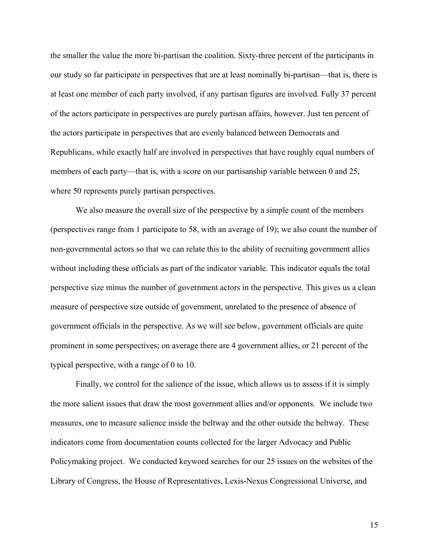the smaller the value the more bi-partisan the coalition. Sixty-three percent of the participants in our study so far participate in perspectives that are at least nominally bi-partisan—that is, there is at least one member of each party involved, if any partisan figures are involved. Fully 37 percent of the actors participate in perspectives are purely partisan affairs, however. Just ten percent of the actors participate in perspectives that are evenly balanced between Democrats and Republicans, while exactly half are involved in perspectives that have roughly equal numbers of members of each party—that is, with a score on our partisanship variable between 0 and 25, where 50 represents purely partisan perspectives.

We also measure the overall size of the perspective by a simple count of the members (perspectives range from 1 participate to 58, with an average of 19); we also count the number of non-governmental actors so that we can relate this to the ability of recruiting government allies without including these officials as part of the indicator variable. This indicator equals the total perspective size minus the number of government actors in the perspective. This gives us a clean measure of perspective size outside of government, unrelated to the presence of absence of government officials in the perspective. As we will see below, government officials are quite prominent in some perspectives; on average there are 4 government allies, or 21 percent of the typical perspective, with a range of 0 to 10.

Finally, we control for the salience of the issue, which allows us to assess if it is simply the more salient issues that draw the most government allies and/or opponents. We include two measures, one to measure salience inside the beltway and the other outside the beltway. These indicators come from documentation counts collected for the larger Advocacy and Public Policymaking project. We conducted keyword searches for our 25 issues on the websites of the Library of Congress, the House of Representatives, Lexis-Nexus Congressional Universe, and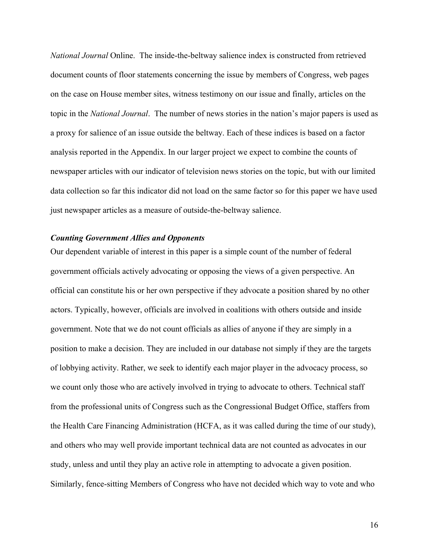*National Journal* Online. The inside-the-beltway salience index is constructed from retrieved document counts of floor statements concerning the issue by members of Congress, web pages on the case on House member sites, witness testimony on our issue and finally, articles on the topic in the *National Journal*. The number of news stories in the nation's major papers is used as a proxy for salience of an issue outside the beltway. Each of these indices is based on a factor analysis reported in the Appendix. In our larger project we expect to combine the counts of newspaper articles with our indicator of television news stories on the topic, but with our limited data collection so far this indicator did not load on the same factor so for this paper we have used just newspaper articles as a measure of outside-the-beltway salience.

#### *Counting Government Allies and Opponents*

Our dependent variable of interest in this paper is a simple count of the number of federal government officials actively advocating or opposing the views of a given perspective. An official can constitute his or her own perspective if they advocate a position shared by no other actors. Typically, however, officials are involved in coalitions with others outside and inside government. Note that we do not count officials as allies of anyone if they are simply in a position to make a decision. They are included in our database not simply if they are the targets of lobbying activity. Rather, we seek to identify each major player in the advocacy process, so we count only those who are actively involved in trying to advocate to others. Technical staff from the professional units of Congress such as the Congressional Budget Office, staffers from the Health Care Financing Administration (HCFA, as it was called during the time of our study), and others who may well provide important technical data are not counted as advocates in our study, unless and until they play an active role in attempting to advocate a given position. Similarly, fence-sitting Members of Congress who have not decided which way to vote and who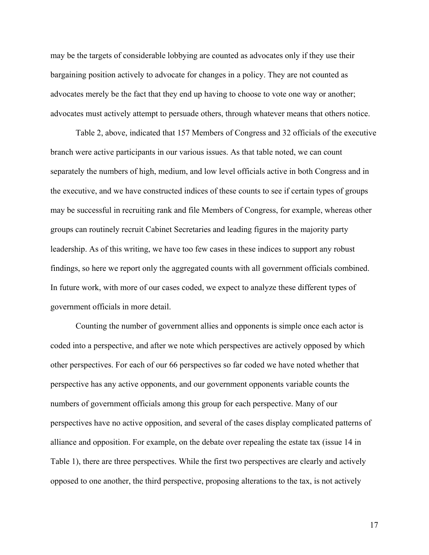may be the targets of considerable lobbying are counted as advocates only if they use their bargaining position actively to advocate for changes in a policy. They are not counted as advocates merely be the fact that they end up having to choose to vote one way or another; advocates must actively attempt to persuade others, through whatever means that others notice.

Table 2, above, indicated that 157 Members of Congress and 32 officials of the executive branch were active participants in our various issues. As that table noted, we can count separately the numbers of high, medium, and low level officials active in both Congress and in the executive, and we have constructed indices of these counts to see if certain types of groups may be successful in recruiting rank and file Members of Congress, for example, whereas other groups can routinely recruit Cabinet Secretaries and leading figures in the majority party leadership. As of this writing, we have too few cases in these indices to support any robust findings, so here we report only the aggregated counts with all government officials combined. In future work, with more of our cases coded, we expect to analyze these different types of government officials in more detail.

Counting the number of government allies and opponents is simple once each actor is coded into a perspective, and after we note which perspectives are actively opposed by which other perspectives. For each of our 66 perspectives so far coded we have noted whether that perspective has any active opponents, and our government opponents variable counts the numbers of government officials among this group for each perspective. Many of our perspectives have no active opposition, and several of the cases display complicated patterns of alliance and opposition. For example, on the debate over repealing the estate tax (issue 14 in Table 1), there are three perspectives. While the first two perspectives are clearly and actively opposed to one another, the third perspective, proposing alterations to the tax, is not actively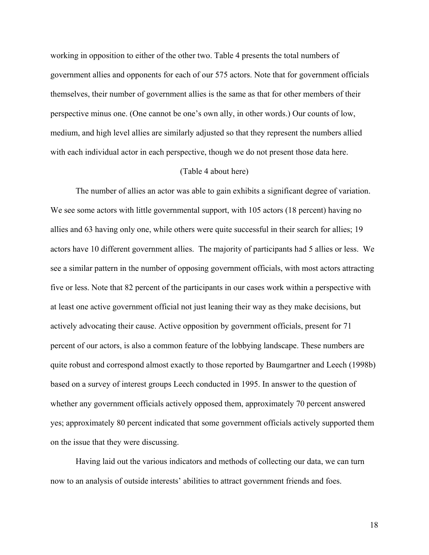working in opposition to either of the other two. Table 4 presents the total numbers of government allies and opponents for each of our 575 actors. Note that for government officials themselves, their number of government allies is the same as that for other members of their perspective minus one. (One cannot be one's own ally, in other words.) Our counts of low, medium, and high level allies are similarly adjusted so that they represent the numbers allied with each individual actor in each perspective, though we do not present those data here.

### (Table 4 about here)

The number of allies an actor was able to gain exhibits a significant degree of variation. We see some actors with little governmental support, with 105 actors (18 percent) having no allies and 63 having only one, while others were quite successful in their search for allies; 19 actors have 10 different government allies. The majority of participants had 5 allies or less. We see a similar pattern in the number of opposing government officials, with most actors attracting five or less. Note that 82 percent of the participants in our cases work within a perspective with at least one active government official not just leaning their way as they make decisions, but actively advocating their cause. Active opposition by government officials, present for 71 percent of our actors, is also a common feature of the lobbying landscape. These numbers are quite robust and correspond almost exactly to those reported by Baumgartner and Leech (1998b) based on a survey of interest groups Leech conducted in 1995. In answer to the question of whether any government officials actively opposed them, approximately 70 percent answered yes; approximately 80 percent indicated that some government officials actively supported them on the issue that they were discussing.

Having laid out the various indicators and methods of collecting our data, we can turn now to an analysis of outside interests' abilities to attract government friends and foes.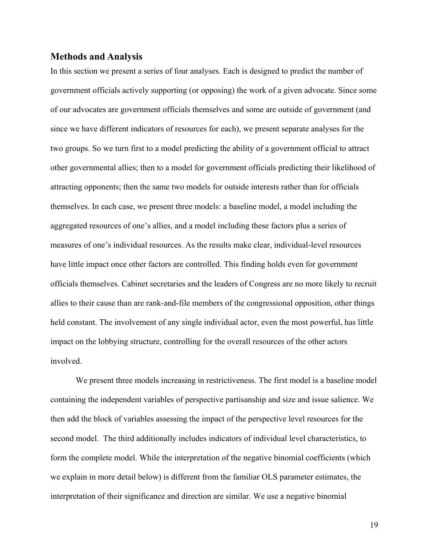## **Methods and Analysis**

In this section we present a series of four analyses. Each is designed to predict the number of government officials actively supporting (or opposing) the work of a given advocate. Since some of our advocates are government officials themselves and some are outside of government (and since we have different indicators of resources for each), we present separate analyses for the two groups. So we turn first to a model predicting the ability of a government official to attract other governmental allies; then to a model for government officials predicting their likelihood of attracting opponents; then the same two models for outside interests rather than for officials themselves. In each case, we present three models: a baseline model, a model including the aggregated resources of one's allies, and a model including these factors plus a series of measures of one's individual resources. As the results make clear, individual-level resources have little impact once other factors are controlled. This finding holds even for government officials themselves. Cabinet secretaries and the leaders of Congress are no more likely to recruit allies to their cause than are rank-and-file members of the congressional opposition, other things held constant. The involvement of any single individual actor, even the most powerful, has little impact on the lobbying structure, controlling for the overall resources of the other actors involved.

We present three models increasing in restrictiveness. The first model is a baseline model containing the independent variables of perspective partisanship and size and issue salience. We then add the block of variables assessing the impact of the perspective level resources for the second model. The third additionally includes indicators of individual level characteristics, to form the complete model. While the interpretation of the negative binomial coefficients (which we explain in more detail below) is different from the familiar OLS parameter estimates, the interpretation of their significance and direction are similar. We use a negative binomial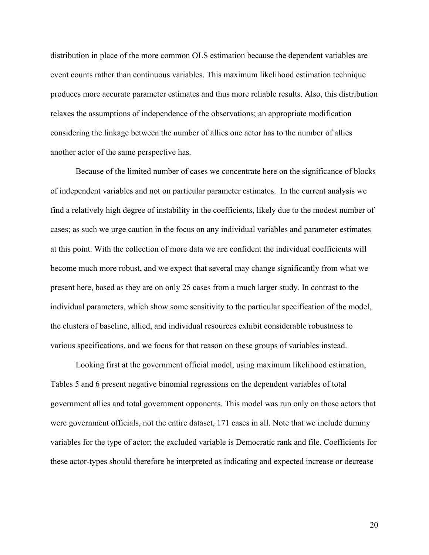distribution in place of the more common OLS estimation because the dependent variables are event counts rather than continuous variables. This maximum likelihood estimation technique produces more accurate parameter estimates and thus more reliable results. Also, this distribution relaxes the assumptions of independence of the observations; an appropriate modification considering the linkage between the number of allies one actor has to the number of allies another actor of the same perspective has.

Because of the limited number of cases we concentrate here on the significance of blocks of independent variables and not on particular parameter estimates. In the current analysis we find a relatively high degree of instability in the coefficients, likely due to the modest number of cases; as such we urge caution in the focus on any individual variables and parameter estimates at this point. With the collection of more data we are confident the individual coefficients will become much more robust, and we expect that several may change significantly from what we present here, based as they are on only 25 cases from a much larger study. In contrast to the individual parameters, which show some sensitivity to the particular specification of the model, the clusters of baseline, allied, and individual resources exhibit considerable robustness to various specifications, and we focus for that reason on these groups of variables instead.

Looking first at the government official model, using maximum likelihood estimation, Tables 5 and 6 present negative binomial regressions on the dependent variables of total government allies and total government opponents. This model was run only on those actors that were government officials, not the entire dataset, 171 cases in all. Note that we include dummy variables for the type of actor; the excluded variable is Democratic rank and file. Coefficients for these actor-types should therefore be interpreted as indicating and expected increase or decrease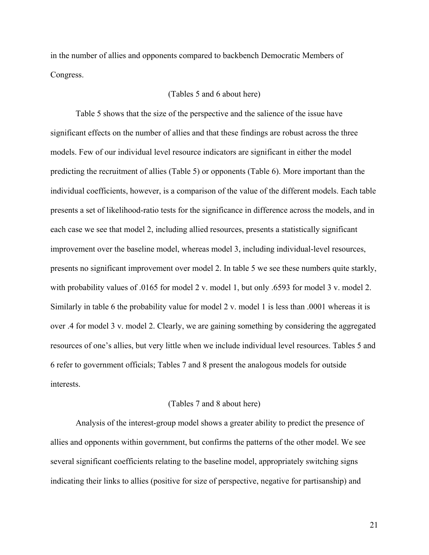in the number of allies and opponents compared to backbench Democratic Members of Congress.

### (Tables 5 and 6 about here)

Table 5 shows that the size of the perspective and the salience of the issue have significant effects on the number of allies and that these findings are robust across the three models. Few of our individual level resource indicators are significant in either the model predicting the recruitment of allies (Table 5) or opponents (Table 6). More important than the individual coefficients, however, is a comparison of the value of the different models. Each table presents a set of likelihood-ratio tests for the significance in difference across the models, and in each case we see that model 2, including allied resources, presents a statistically significant improvement over the baseline model, whereas model 3, including individual-level resources, presents no significant improvement over model 2. In table 5 we see these numbers quite starkly, with probability values of .0165 for model 2 v. model 1, but only .6593 for model 3 v. model 2. Similarly in table 6 the probability value for model 2 v. model 1 is less than .0001 whereas it is over .4 for model 3 v. model 2. Clearly, we are gaining something by considering the aggregated resources of one's allies, but very little when we include individual level resources. Tables 5 and 6 refer to government officials; Tables 7 and 8 present the analogous models for outside interests.

### (Tables 7 and 8 about here)

Analysis of the interest-group model shows a greater ability to predict the presence of allies and opponents within government, but confirms the patterns of the other model. We see several significant coefficients relating to the baseline model, appropriately switching signs indicating their links to allies (positive for size of perspective, negative for partisanship) and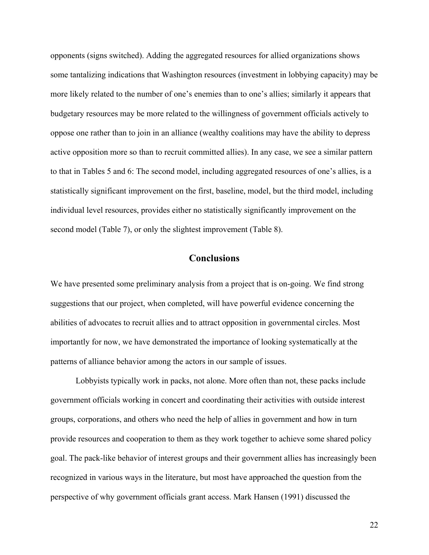opponents (signs switched). Adding the aggregated resources for allied organizations shows some tantalizing indications that Washington resources (investment in lobbying capacity) may be more likely related to the number of one's enemies than to one's allies; similarly it appears that budgetary resources may be more related to the willingness of government officials actively to oppose one rather than to join in an alliance (wealthy coalitions may have the ability to depress active opposition more so than to recruit committed allies). In any case, we see a similar pattern to that in Tables 5 and 6: The second model, including aggregated resources of one's allies, is a statistically significant improvement on the first, baseline, model, but the third model, including individual level resources, provides either no statistically significantly improvement on the second model (Table 7), or only the slightest improvement (Table 8).

## **Conclusions**

We have presented some preliminary analysis from a project that is on-going. We find strong suggestions that our project, when completed, will have powerful evidence concerning the abilities of advocates to recruit allies and to attract opposition in governmental circles. Most importantly for now, we have demonstrated the importance of looking systematically at the patterns of alliance behavior among the actors in our sample of issues.

Lobbyists typically work in packs, not alone. More often than not, these packs include government officials working in concert and coordinating their activities with outside interest groups, corporations, and others who need the help of allies in government and how in turn provide resources and cooperation to them as they work together to achieve some shared policy goal. The pack-like behavior of interest groups and their government allies has increasingly been recognized in various ways in the literature, but most have approached the question from the perspective of why government officials grant access. Mark Hansen (1991) discussed the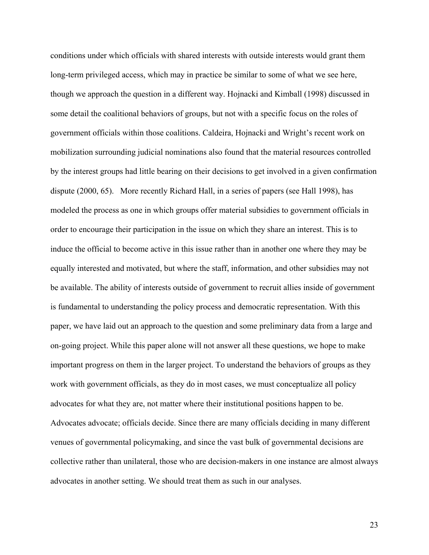conditions under which officials with shared interests with outside interests would grant them long-term privileged access, which may in practice be similar to some of what we see here, though we approach the question in a different way. Hojnacki and Kimball (1998) discussed in some detail the coalitional behaviors of groups, but not with a specific focus on the roles of government officials within those coalitions. Caldeira, Hojnacki and Wright's recent work on mobilization surrounding judicial nominations also found that the material resources controlled by the interest groups had little bearing on their decisions to get involved in a given confirmation dispute (2000, 65). More recently Richard Hall, in a series of papers (see Hall 1998), has modeled the process as one in which groups offer material subsidies to government officials in order to encourage their participation in the issue on which they share an interest. This is to induce the official to become active in this issue rather than in another one where they may be equally interested and motivated, but where the staff, information, and other subsidies may not be available. The ability of interests outside of government to recruit allies inside of government is fundamental to understanding the policy process and democratic representation. With this paper, we have laid out an approach to the question and some preliminary data from a large and on-going project. While this paper alone will not answer all these questions, we hope to make important progress on them in the larger project. To understand the behaviors of groups as they work with government officials, as they do in most cases, we must conceptualize all policy advocates for what they are, not matter where their institutional positions happen to be. Advocates advocate; officials decide. Since there are many officials deciding in many different venues of governmental policymaking, and since the vast bulk of governmental decisions are collective rather than unilateral, those who are decision-makers in one instance are almost always advocates in another setting. We should treat them as such in our analyses.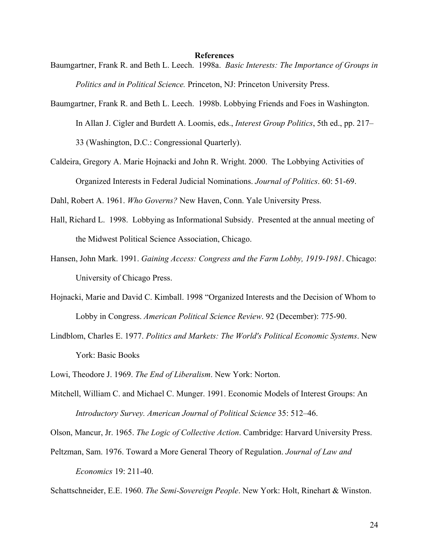#### **References**

- Baumgartner, Frank R. and Beth L. Leech. 1998a. *Basic Interests: The Importance of Groups in Politics and in Political Science.* Princeton, NJ: Princeton University Press.
- Baumgartner, Frank R. and Beth L. Leech. 1998b. Lobbying Friends and Foes in Washington. In Allan J. Cigler and Burdett A. Loomis, eds., *Interest Group Politics*, 5th ed., pp. 217– 33 (Washington, D.C.: Congressional Quarterly).
- Caldeira, Gregory A. Marie Hojnacki and John R. Wright. 2000. The Lobbying Activities of Organized Interests in Federal Judicial Nominations. *Journal of Politics*. 60: 51-69.

Dahl, Robert A. 1961. *Who Governs?* New Haven, Conn. Yale University Press.

- Hall, Richard L. 1998. Lobbying as Informational Subsidy. Presented at the annual meeting of the Midwest Political Science Association, Chicago.
- Hansen, John Mark. 1991. *Gaining Access: Congress and the Farm Lobby, 1919-1981*. Chicago: University of Chicago Press.
- Hojnacki, Marie and David C. Kimball. 1998 "Organized Interests and the Decision of Whom to Lobby in Congress. *American Political Science Review*. 92 (December): 775-90.
- Lindblom, Charles E. 1977. *Politics and Markets: The World's Political Economic Systems*. New York: Basic Books
- Lowi, Theodore J. 1969. *The End of Liberalism*. New York: Norton.
- Mitchell, William C. and Michael C. Munger. 1991. Economic Models of Interest Groups: An *Introductory Survey. American Journal of Political Science* 35: 512–46.

Olson, Mancur, Jr. 1965. *The Logic of Collective Action*. Cambridge: Harvard University Press.

Peltzman, Sam. 1976. Toward a More General Theory of Regulation. *Journal of Law and Economics* 19: 211-40.

Schattschneider, E.E. 1960. *The Semi-Sovereign People*. New York: Holt, Rinehart & Winston.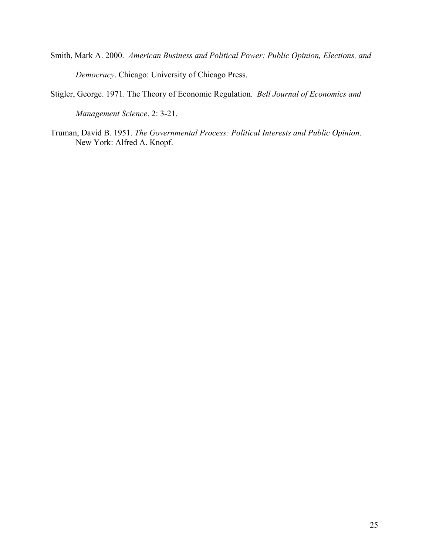- Smith, Mark A. 2000. *American Business and Political Power: Public Opinion, Elections, and Democracy*. Chicago: University of Chicago Press.
- Stigler, George. 1971. The Theory of Economic Regulation*. Bell Journal of Economics and*

*Management Science*. 2: 3-21.

Truman, David B. 1951. *The Governmental Process: Political Interests and Public Opinion*. New York: Alfred A. Knopf.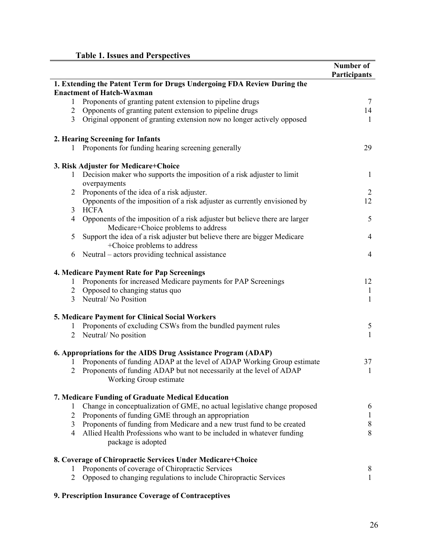|                |                                                                                                                    | Number of<br><b>Participants</b> |
|----------------|--------------------------------------------------------------------------------------------------------------------|----------------------------------|
|                | 1. Extending the Patent Term for Drugs Undergoing FDA Review During the<br><b>Enactment of Hatch-Waxman</b>        |                                  |
| 1              | Proponents of granting patent extension to pipeline drugs                                                          | 7                                |
| 2              | Opponents of granting patent extension to pipeline drugs                                                           | 14                               |
| $\overline{3}$ | Original opponent of granting extension now no longer actively opposed                                             | 1                                |
|                | 2. Hearing Screening for Infants                                                                                   |                                  |
| $\mathbf{I}$   | Proponents for funding hearing screening generally                                                                 | 29                               |
|                | 3. Risk Adjuster for Medicare+Choice                                                                               |                                  |
|                | 1 Decision maker who supports the imposition of a risk adjuster to limit<br>overpayments                           | 1                                |
| $\overline{2}$ | Proponents of the idea of a risk adjuster.                                                                         | 2                                |
| 3              | Opponents of the imposition of a risk adjuster as currently envisioned by<br><b>HCFA</b>                           | 12                               |
| 4              | Opponents of the imposition of a risk adjuster but believe there are larger<br>Medicare+Choice problems to address | 5                                |
| 5              | Support the idea of a risk adjuster but believe there are bigger Medicare<br>+Choice problems to address           | 4                                |
| 6              | Neutral – actors providing technical assistance                                                                    | 4                                |
|                | 4. Medicare Payment Rate for Pap Screenings                                                                        |                                  |
| $\perp$        | Proponents for increased Medicare payments for PAP Screenings                                                      | 12                               |
| $\overline{2}$ | Opposed to changing status quo                                                                                     | 1                                |
| 3              | Neutral/No Position                                                                                                | $\mathbf{1}$                     |
|                | 5. Medicare Payment for Clinical Social Workers                                                                    |                                  |
| 1              | Proponents of excluding CSWs from the bundled payment rules                                                        | 5                                |
|                | 2 Neutral/No position                                                                                              | $\mathbf{1}$                     |
|                | 6. Appropriations for the AIDS Drug Assistance Program (ADAP)                                                      |                                  |
|                | Proponents of funding ADAP at the level of ADAP Working Group estimate                                             | 37                               |
|                | Proponents of funding ADAP but not necessarily at the level of ADAP<br>Working Group estimate                      |                                  |
|                | 7. Medicare Funding of Graduate Medical Education                                                                  |                                  |
| 1              | Change in conceptualization of GME, no actual legislative change proposed                                          | 6                                |
| $\overline{2}$ | Proponents of funding GME through an appropriation                                                                 | 1                                |
| 3              | Proponents of funding from Medicare and a new trust fund to be created                                             | 8                                |
| 4              | Allied Health Professions who want to be included in whatever funding<br>package is adopted                        | 8                                |
|                | 8. Coverage of Chiropractic Services Under Medicare+Choice                                                         |                                  |
| 1              | Proponents of coverage of Chiropractic Services                                                                    | 8                                |
| 2              | Opposed to changing regulations to include Chiropractic Services                                                   | 1                                |
|                |                                                                                                                    |                                  |

**9. Prescription Insurance Coverage of Contraceptives**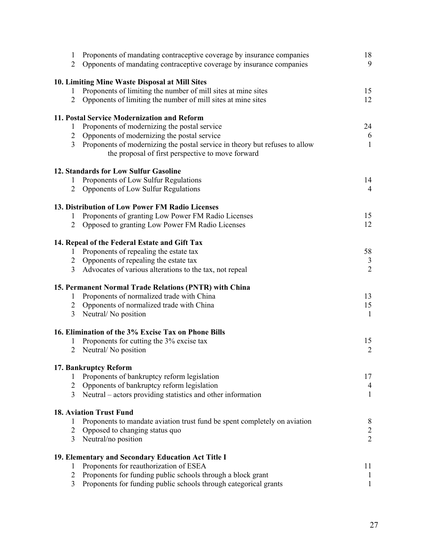| $\mathbf{1}$<br>$\overline{2}$   | Proponents of mandating contraceptive coverage by insurance companies<br>Opponents of mandating contraceptive coverage by insurance companies | 18<br>9                        |
|----------------------------------|-----------------------------------------------------------------------------------------------------------------------------------------------|--------------------------------|
|                                  | 10. Limiting Mine Waste Disposal at Mill Sites                                                                                                |                                |
| 1                                | Proponents of limiting the number of mill sites at mine sites                                                                                 | 15                             |
| $\overline{2}$                   | Opponents of limiting the number of mill sites at mine sites                                                                                  | 12                             |
|                                  | 11. Postal Service Modernization and Reform                                                                                                   |                                |
| 1                                | Proponents of modernizing the postal service                                                                                                  | 24                             |
| $\overline{2}$                   | Opponents of modernizing the postal service                                                                                                   | 6                              |
| $\overline{3}$                   | Proponents of modernizing the postal service in theory but refuses to allow<br>the proposal of first perspective to move forward              | $\mathbf{1}$                   |
|                                  | 12. Standards for Low Sulfur Gasoline                                                                                                         |                                |
| $\mathbf{1}$                     | Proponents of Low Sulfur Regulations                                                                                                          | 14                             |
| $\overline{2}$                   | Opponents of Low Sulfur Regulations                                                                                                           | $\overline{4}$                 |
|                                  | 13. Distribution of Low Power FM Radio Licenses                                                                                               |                                |
| 1                                | Proponents of granting Low Power FM Radio Licenses                                                                                            | 15                             |
| $\overline{2}$                   | Opposed to granting Low Power FM Radio Licenses                                                                                               | 12                             |
|                                  | 14. Repeal of the Federal Estate and Gift Tax                                                                                                 |                                |
| $\mathbf{1}$                     | Proponents of repealing the estate tax                                                                                                        | 58                             |
| $\overline{2}$                   | Opponents of repealing the estate tax                                                                                                         | $\frac{3}{2}$                  |
| $\overline{3}$                   | Advocates of various alterations to the tax, not repeal                                                                                       |                                |
|                                  | 15. Permanent Normal Trade Relations (PNTR) with China                                                                                        |                                |
| $\mathbf{1}$                     | Proponents of normalized trade with China                                                                                                     | 13                             |
| $\overline{2}$<br>$\overline{3}$ | Opponents of normalized trade with China<br>Neutral/No position                                                                               | 15<br>$\mathbf{1}$             |
|                                  | 16. Elimination of the 3% Excise Tax on Phone Bills                                                                                           |                                |
| 1                                | Proponents for cutting the 3% excise tax                                                                                                      | 15                             |
| $\overline{2}$                   | Neutral/No position                                                                                                                           | $\overline{2}$                 |
|                                  | 17. Bankruptcy Reform                                                                                                                         |                                |
| $\mathbf{1}$                     | Proponents of bankruptcy reform legislation                                                                                                   | 17                             |
| $\overline{2}$<br>$\overline{3}$ | Opponents of bankruptcy reform legislation<br>Neutral – actors providing statistics and other information                                     | $\overline{4}$<br>$\mathbf{1}$ |
|                                  |                                                                                                                                               |                                |
|                                  | <b>18. Aviation Trust Fund</b>                                                                                                                |                                |
| 1                                | Proponents to mandate aviation trust fund be spent completely on aviation                                                                     | 8                              |
| 2                                | Opposed to changing status quo                                                                                                                | $\overline{c}$                 |
| $\overline{3}$                   | Neutral/no position                                                                                                                           | $\overline{2}$                 |
|                                  | 19. Elementary and Secondary Education Act Title I                                                                                            |                                |
| 1                                | Proponents for reauthorization of ESEA                                                                                                        | 11                             |
| $\overline{2}$                   | Proponents for funding public schools through a block grant                                                                                   | $\mathbf{1}$                   |
| 3                                | Proponents for funding public schools through categorical grants                                                                              | $\mathbf{1}$                   |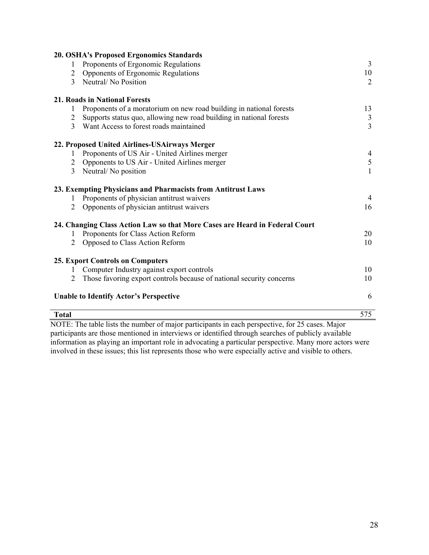| <b>Total</b> |                                                                             | 575                  |
|--------------|-----------------------------------------------------------------------------|----------------------|
|              | <b>Unable to Identify Actor's Perspective</b>                               | 6                    |
| 2            | Those favoring export controls because of national security concerns        | 10                   |
|              | Computer Industry against export controls                                   | 10                   |
|              | <b>25. Export Controls on Computers</b>                                     |                      |
|              |                                                                             |                      |
| 2            | Opposed to Class Action Reform                                              | 10                   |
| 1            | Proponents for Class Action Reform                                          | 20                   |
|              | 24. Changing Class Action Law so that More Cases are Heard in Federal Court |                      |
| 2            | Opponents of physician antitrust waivers                                    | 16                   |
|              | Proponents of physician antitrust waivers                                   | 4                    |
|              | 23. Exempting Physicians and Pharmacists from Antitrust Laws                |                      |
| 3            | Neutral/No position                                                         | $\mathbf{1}$         |
| 2            | Opponents to US Air - United Airlines merger                                | 5                    |
| 1            | Proponents of US Air - United Airlines merger                               | 4                    |
|              | 22. Proposed United Airlines-USAirways Merger                               |                      |
| 3            | Want Access to forest roads maintained                                      | $\overline{3}$       |
| 2            | Supports status quo, allowing new road building in national forests         | $\mathfrak{Z}$       |
| 1            | Proponents of a moratorium on new road building in national forests         | 13                   |
|              | <b>21. Roads in National Forests</b>                                        |                      |
|              |                                                                             |                      |
| 2<br>3       | Opponents of Ergonomic Regulations<br>Neutral/No Position                   | 10<br>$\overline{2}$ |
| 1            | Proponents of Ergonomic Regulations                                         | 3                    |
|              | 20. OSHA's Proposed Ergonomics Standards                                    |                      |
|              |                                                                             |                      |

NOTE: The table lists the number of major participants in each perspective, for 25 cases. Major participants are those mentioned in interviews or identified through searches of publicly available information as playing an important role in advocating a particular perspective. Many more actors were involved in these issues; this list represents those who were especially active and visible to others.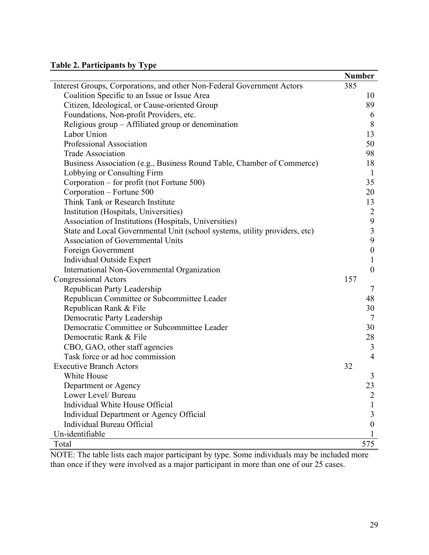# **Table 2. Participants by Type**

|                                                                            | <b>Number</b>           |
|----------------------------------------------------------------------------|-------------------------|
| Interest Groups, Corporations, and other Non-Federal Government Actors     | 385                     |
| Coalition Specific to an Issue or Issue Area                               | 10                      |
| Citizen, Ideological, or Cause-oriented Group                              | 89                      |
| Foundations, Non-profit Providers, etc.                                    | 6                       |
| Religious group - Affiliated group or denomination                         | 8                       |
| Labor Union                                                                | 13                      |
| Professional Association                                                   | 50                      |
| <b>Trade Association</b>                                                   | 98                      |
| Business Association (e.g., Business Round Table, Chamber of Commerce)     | 18                      |
| Lobbying or Consulting Firm                                                | $\mathbf{1}$            |
| Corporation – for profit (not Fortune 500)                                 | 35                      |
| Corporation – Fortune 500                                                  | 20                      |
| Think Tank or Research Institute                                           | 13                      |
| Institution (Hospitals, Universities)                                      | $\overline{2}$          |
| Association of Institutions (Hospitals, Universities)                      | 9                       |
| State and Local Governmental Unit (school systems, utility providers, etc) | $\overline{\mathbf{3}}$ |
| Association of Governmental Units                                          | 9                       |
| Foreign Government                                                         | $\boldsymbol{0}$        |
| Individual Outside Expert                                                  | $\mathbf{1}$            |
| International Non-Governmental Organization                                | $\boldsymbol{0}$        |
| <b>Congressional Actors</b>                                                | 157                     |
| Republican Party Leadership                                                | $\tau$                  |
| Republican Committee or Subcommittee Leader                                | 48                      |
| Republican Rank & File                                                     | 30                      |
| Democratic Party Leadership                                                | $\tau$                  |
| Democratic Committee or Subcommittee Leader                                | 30                      |
| Democratic Rank & File                                                     | 28                      |
| CBO, GAO, other staff agencies                                             | 3                       |
| Task force or ad hoc commission                                            | $\overline{4}$          |
| <b>Executive Branch Actors</b>                                             | 32                      |
| White House                                                                | 3                       |
| Department or Agency                                                       | 23                      |
| Lower Level/ Bureau                                                        | 2                       |
| Individual White House Official                                            | 1                       |
| Individual Department or Agency Official                                   | 3                       |
| Individual Bureau Official                                                 | $\boldsymbol{0}$        |
| Un-identifiable                                                            |                         |
| Total                                                                      | 575                     |

NOTE: The table lists each major participant by type. Some individuals may be included more than once if they were involved as a major participant in more than one of our 25 cases.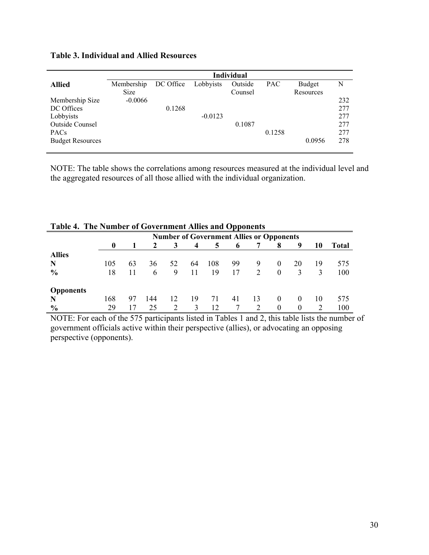## **Table 3. Individual and Allied Resources**

|                         |             |           |           | <b>Individual</b> |            |           |     |
|-------------------------|-------------|-----------|-----------|-------------------|------------|-----------|-----|
| <b>Allied</b>           | Membership  | DC Office | Lobbyists | Outside           | <b>PAC</b> | Budget    | N   |
|                         | <b>Size</b> |           |           | Counsel           |            | Resources |     |
| Membership Size         | $-0.0066$   |           |           |                   |            |           | 232 |
| DC Offices              |             | 0.1268    |           |                   |            |           | 277 |
| Lobbyists               |             |           | $-0.0123$ |                   |            |           | 277 |
| <b>Outside Counsel</b>  |             |           |           | 0.1087            |            |           | 277 |
| <b>PACs</b>             |             |           |           |                   | 0.1258     |           | 277 |
| <b>Budget Resources</b> |             |           |           |                   |            | 0.0956    | 278 |
|                         |             |           |           |                   |            |           |     |

NOTE: The table shows the correlations among resources measured at the individual level and the aggregated resources of all those allied with the individual organization.

|                  | таріс т. тистуанност от доустиністі тансу ана орронсніз |    |     |    |    |                                                 |    |    |          |          |    |       |
|------------------|---------------------------------------------------------|----|-----|----|----|-------------------------------------------------|----|----|----------|----------|----|-------|
|                  |                                                         |    |     |    |    | <b>Number of Government Allies or Opponents</b> |    |    |          |          |    |       |
|                  | $\bf{0}$                                                |    | 2   | 3  | 4  | 5                                               | 6  |    | 8        | 9        | 10 | Total |
| <b>Allies</b>    |                                                         |    |     |    |    |                                                 |    |    |          |          |    |       |
| N                | 105                                                     | 63 | 36  | 52 | 64 | 108                                             | 99 | 9  | $\theta$ | 20       | 19 | 575   |
| $\frac{6}{9}$    | 18                                                      |    | 6   | 9  | 11 | 19                                              | 17 | 2  | $\theta$ | 3        | 3  | 100   |
| <b>Opponents</b> |                                                         |    |     |    |    |                                                 |    |    |          |          |    |       |
| N                | 168                                                     | 97 | 144 | 12 | 19 | 71                                              | 41 | 13 | $\theta$ | $\theta$ | 10 | 575   |
| $\frac{6}{9}$    | 29                                                      |    | 25  | 2  | 3  | 12                                              |    |    | $\theta$ | $\theta$ |    | 100   |

| Table 4. The Number of Government Allies and Opponents |
|--------------------------------------------------------|
|--------------------------------------------------------|

NOTE: For each of the 575 participants listed in Tables 1 and 2, this table lists the number of government officials active within their perspective (allies), or advocating an opposing perspective (opponents).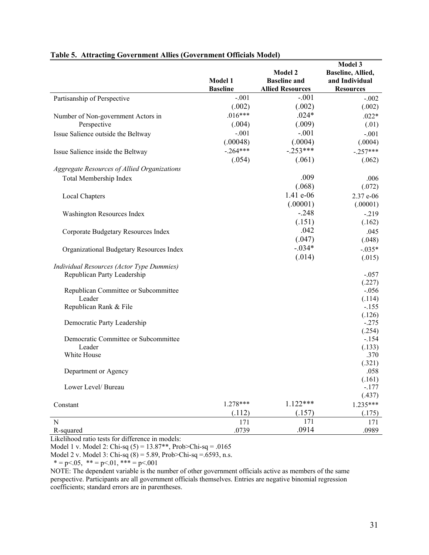| Model 1<br>and Individual<br><b>Baseline and</b><br><b>Baseline</b><br><b>Allied Resources</b><br><b>Resources</b><br>$-.001$<br>$-.001$<br>Partisanship of Perspective<br>$-.002$<br>(.002)<br>(.002)<br>(.002)<br>$.016***$<br>$.024*$<br>$.022*$<br>Number of Non-government Actors in<br>(.004)<br>(.009)<br>Perspective<br>(.01)<br>$-.001$<br>$-.001$<br>Issue Salience outside the Beltway<br>$-.001$<br>(.00048)<br>(.0004)<br>(.0004)<br>$-.253***$<br>$-.264***$<br>$-.257***$<br>Issue Salience inside the Beltway<br>(.054)<br>(.061)<br>(.062)<br>Aggregate Resources of Allied Organizations<br>.009<br>Total Membership Index<br>.006<br>(.068)<br>(.072)<br>1.41 e-06<br>2.37 e-06<br>Local Chapters<br>(.00001)<br>(.00001)<br>$-.248$<br>$-219$<br>Washington Resources Index<br>(.151)<br>(.162)<br>.042<br>.045<br>Corporate Budgetary Resources Index<br>(.047)<br>(.048)<br>$-.034*$<br>$-.035*$<br>Organizational Budgetary Resources Index<br>(.014)<br>(.015)<br>Individual Resources (Actor Type Dummies)<br>Republican Party Leadership<br>$-.057$<br>(.227)<br>$-.056$<br>Republican Committee or Subcommittee<br>Leader<br>(.114)<br>Republican Rank & File<br>$-.155$<br>(.126)<br>$-.275$<br>Democratic Party Leadership<br>(.254)<br>Democratic Committee or Subcommittee<br>$-154$<br>Leader<br>(.133)<br>White House<br>.370<br>(.321)<br>.058<br>Department or Agency<br>(.161)<br>$-.177$<br>Lower Level/ Bureau<br>(.437)<br>$1.122***$<br>$1.278***$<br>$1.235***$<br>Constant<br>(.112)<br>(.157)<br>(.175)<br>171<br>171<br>171<br>N |           |       |                | Model 3           |
|------------------------------------------------------------------------------------------------------------------------------------------------------------------------------------------------------------------------------------------------------------------------------------------------------------------------------------------------------------------------------------------------------------------------------------------------------------------------------------------------------------------------------------------------------------------------------------------------------------------------------------------------------------------------------------------------------------------------------------------------------------------------------------------------------------------------------------------------------------------------------------------------------------------------------------------------------------------------------------------------------------------------------------------------------------------------------------------------------------------------------------------------------------------------------------------------------------------------------------------------------------------------------------------------------------------------------------------------------------------------------------------------------------------------------------------------------------------------------------------------------------------------------------------------------------------------------|-----------|-------|----------------|-------------------|
|                                                                                                                                                                                                                                                                                                                                                                                                                                                                                                                                                                                                                                                                                                                                                                                                                                                                                                                                                                                                                                                                                                                                                                                                                                                                                                                                                                                                                                                                                                                                                                              |           |       | <b>Model 2</b> | Baseline, Allied, |
|                                                                                                                                                                                                                                                                                                                                                                                                                                                                                                                                                                                                                                                                                                                                                                                                                                                                                                                                                                                                                                                                                                                                                                                                                                                                                                                                                                                                                                                                                                                                                                              |           |       |                |                   |
|                                                                                                                                                                                                                                                                                                                                                                                                                                                                                                                                                                                                                                                                                                                                                                                                                                                                                                                                                                                                                                                                                                                                                                                                                                                                                                                                                                                                                                                                                                                                                                              |           |       |                |                   |
|                                                                                                                                                                                                                                                                                                                                                                                                                                                                                                                                                                                                                                                                                                                                                                                                                                                                                                                                                                                                                                                                                                                                                                                                                                                                                                                                                                                                                                                                                                                                                                              |           |       |                |                   |
|                                                                                                                                                                                                                                                                                                                                                                                                                                                                                                                                                                                                                                                                                                                                                                                                                                                                                                                                                                                                                                                                                                                                                                                                                                                                                                                                                                                                                                                                                                                                                                              |           |       |                |                   |
|                                                                                                                                                                                                                                                                                                                                                                                                                                                                                                                                                                                                                                                                                                                                                                                                                                                                                                                                                                                                                                                                                                                                                                                                                                                                                                                                                                                                                                                                                                                                                                              |           |       |                |                   |
|                                                                                                                                                                                                                                                                                                                                                                                                                                                                                                                                                                                                                                                                                                                                                                                                                                                                                                                                                                                                                                                                                                                                                                                                                                                                                                                                                                                                                                                                                                                                                                              |           |       |                |                   |
|                                                                                                                                                                                                                                                                                                                                                                                                                                                                                                                                                                                                                                                                                                                                                                                                                                                                                                                                                                                                                                                                                                                                                                                                                                                                                                                                                                                                                                                                                                                                                                              |           |       |                |                   |
|                                                                                                                                                                                                                                                                                                                                                                                                                                                                                                                                                                                                                                                                                                                                                                                                                                                                                                                                                                                                                                                                                                                                                                                                                                                                                                                                                                                                                                                                                                                                                                              |           |       |                |                   |
|                                                                                                                                                                                                                                                                                                                                                                                                                                                                                                                                                                                                                                                                                                                                                                                                                                                                                                                                                                                                                                                                                                                                                                                                                                                                                                                                                                                                                                                                                                                                                                              |           |       |                |                   |
|                                                                                                                                                                                                                                                                                                                                                                                                                                                                                                                                                                                                                                                                                                                                                                                                                                                                                                                                                                                                                                                                                                                                                                                                                                                                                                                                                                                                                                                                                                                                                                              |           |       |                |                   |
|                                                                                                                                                                                                                                                                                                                                                                                                                                                                                                                                                                                                                                                                                                                                                                                                                                                                                                                                                                                                                                                                                                                                                                                                                                                                                                                                                                                                                                                                                                                                                                              |           |       |                |                   |
|                                                                                                                                                                                                                                                                                                                                                                                                                                                                                                                                                                                                                                                                                                                                                                                                                                                                                                                                                                                                                                                                                                                                                                                                                                                                                                                                                                                                                                                                                                                                                                              |           |       |                |                   |
|                                                                                                                                                                                                                                                                                                                                                                                                                                                                                                                                                                                                                                                                                                                                                                                                                                                                                                                                                                                                                                                                                                                                                                                                                                                                                                                                                                                                                                                                                                                                                                              |           |       |                |                   |
|                                                                                                                                                                                                                                                                                                                                                                                                                                                                                                                                                                                                                                                                                                                                                                                                                                                                                                                                                                                                                                                                                                                                                                                                                                                                                                                                                                                                                                                                                                                                                                              |           |       |                |                   |
|                                                                                                                                                                                                                                                                                                                                                                                                                                                                                                                                                                                                                                                                                                                                                                                                                                                                                                                                                                                                                                                                                                                                                                                                                                                                                                                                                                                                                                                                                                                                                                              |           |       |                |                   |
|                                                                                                                                                                                                                                                                                                                                                                                                                                                                                                                                                                                                                                                                                                                                                                                                                                                                                                                                                                                                                                                                                                                                                                                                                                                                                                                                                                                                                                                                                                                                                                              |           |       |                |                   |
|                                                                                                                                                                                                                                                                                                                                                                                                                                                                                                                                                                                                                                                                                                                                                                                                                                                                                                                                                                                                                                                                                                                                                                                                                                                                                                                                                                                                                                                                                                                                                                              |           |       |                |                   |
|                                                                                                                                                                                                                                                                                                                                                                                                                                                                                                                                                                                                                                                                                                                                                                                                                                                                                                                                                                                                                                                                                                                                                                                                                                                                                                                                                                                                                                                                                                                                                                              |           |       |                |                   |
|                                                                                                                                                                                                                                                                                                                                                                                                                                                                                                                                                                                                                                                                                                                                                                                                                                                                                                                                                                                                                                                                                                                                                                                                                                                                                                                                                                                                                                                                                                                                                                              |           |       |                |                   |
|                                                                                                                                                                                                                                                                                                                                                                                                                                                                                                                                                                                                                                                                                                                                                                                                                                                                                                                                                                                                                                                                                                                                                                                                                                                                                                                                                                                                                                                                                                                                                                              |           |       |                |                   |
|                                                                                                                                                                                                                                                                                                                                                                                                                                                                                                                                                                                                                                                                                                                                                                                                                                                                                                                                                                                                                                                                                                                                                                                                                                                                                                                                                                                                                                                                                                                                                                              |           |       |                |                   |
|                                                                                                                                                                                                                                                                                                                                                                                                                                                                                                                                                                                                                                                                                                                                                                                                                                                                                                                                                                                                                                                                                                                                                                                                                                                                                                                                                                                                                                                                                                                                                                              |           |       |                |                   |
|                                                                                                                                                                                                                                                                                                                                                                                                                                                                                                                                                                                                                                                                                                                                                                                                                                                                                                                                                                                                                                                                                                                                                                                                                                                                                                                                                                                                                                                                                                                                                                              |           |       |                |                   |
|                                                                                                                                                                                                                                                                                                                                                                                                                                                                                                                                                                                                                                                                                                                                                                                                                                                                                                                                                                                                                                                                                                                                                                                                                                                                                                                                                                                                                                                                                                                                                                              |           |       |                |                   |
|                                                                                                                                                                                                                                                                                                                                                                                                                                                                                                                                                                                                                                                                                                                                                                                                                                                                                                                                                                                                                                                                                                                                                                                                                                                                                                                                                                                                                                                                                                                                                                              |           |       |                |                   |
|                                                                                                                                                                                                                                                                                                                                                                                                                                                                                                                                                                                                                                                                                                                                                                                                                                                                                                                                                                                                                                                                                                                                                                                                                                                                                                                                                                                                                                                                                                                                                                              |           |       |                |                   |
|                                                                                                                                                                                                                                                                                                                                                                                                                                                                                                                                                                                                                                                                                                                                                                                                                                                                                                                                                                                                                                                                                                                                                                                                                                                                                                                                                                                                                                                                                                                                                                              |           |       |                |                   |
|                                                                                                                                                                                                                                                                                                                                                                                                                                                                                                                                                                                                                                                                                                                                                                                                                                                                                                                                                                                                                                                                                                                                                                                                                                                                                                                                                                                                                                                                                                                                                                              |           |       |                |                   |
|                                                                                                                                                                                                                                                                                                                                                                                                                                                                                                                                                                                                                                                                                                                                                                                                                                                                                                                                                                                                                                                                                                                                                                                                                                                                                                                                                                                                                                                                                                                                                                              |           |       |                |                   |
|                                                                                                                                                                                                                                                                                                                                                                                                                                                                                                                                                                                                                                                                                                                                                                                                                                                                                                                                                                                                                                                                                                                                                                                                                                                                                                                                                                                                                                                                                                                                                                              |           |       |                |                   |
|                                                                                                                                                                                                                                                                                                                                                                                                                                                                                                                                                                                                                                                                                                                                                                                                                                                                                                                                                                                                                                                                                                                                                                                                                                                                                                                                                                                                                                                                                                                                                                              |           |       |                |                   |
|                                                                                                                                                                                                                                                                                                                                                                                                                                                                                                                                                                                                                                                                                                                                                                                                                                                                                                                                                                                                                                                                                                                                                                                                                                                                                                                                                                                                                                                                                                                                                                              |           |       |                |                   |
|                                                                                                                                                                                                                                                                                                                                                                                                                                                                                                                                                                                                                                                                                                                                                                                                                                                                                                                                                                                                                                                                                                                                                                                                                                                                                                                                                                                                                                                                                                                                                                              |           |       |                |                   |
|                                                                                                                                                                                                                                                                                                                                                                                                                                                                                                                                                                                                                                                                                                                                                                                                                                                                                                                                                                                                                                                                                                                                                                                                                                                                                                                                                                                                                                                                                                                                                                              |           |       |                |                   |
|                                                                                                                                                                                                                                                                                                                                                                                                                                                                                                                                                                                                                                                                                                                                                                                                                                                                                                                                                                                                                                                                                                                                                                                                                                                                                                                                                                                                                                                                                                                                                                              |           |       |                |                   |
|                                                                                                                                                                                                                                                                                                                                                                                                                                                                                                                                                                                                                                                                                                                                                                                                                                                                                                                                                                                                                                                                                                                                                                                                                                                                                                                                                                                                                                                                                                                                                                              |           |       |                |                   |
|                                                                                                                                                                                                                                                                                                                                                                                                                                                                                                                                                                                                                                                                                                                                                                                                                                                                                                                                                                                                                                                                                                                                                                                                                                                                                                                                                                                                                                                                                                                                                                              |           |       |                |                   |
|                                                                                                                                                                                                                                                                                                                                                                                                                                                                                                                                                                                                                                                                                                                                                                                                                                                                                                                                                                                                                                                                                                                                                                                                                                                                                                                                                                                                                                                                                                                                                                              |           |       |                |                   |
|                                                                                                                                                                                                                                                                                                                                                                                                                                                                                                                                                                                                                                                                                                                                                                                                                                                                                                                                                                                                                                                                                                                                                                                                                                                                                                                                                                                                                                                                                                                                                                              |           |       |                |                   |
|                                                                                                                                                                                                                                                                                                                                                                                                                                                                                                                                                                                                                                                                                                                                                                                                                                                                                                                                                                                                                                                                                                                                                                                                                                                                                                                                                                                                                                                                                                                                                                              |           |       |                |                   |
|                                                                                                                                                                                                                                                                                                                                                                                                                                                                                                                                                                                                                                                                                                                                                                                                                                                                                                                                                                                                                                                                                                                                                                                                                                                                                                                                                                                                                                                                                                                                                                              | R-squared | .0739 | .0914          | .0989             |

#### **Table 5. Attracting Government Allies (Government Officials Model)**

Likelihood ratio tests for difference in models:

Model 1 v. Model 2: Chi-sq (5) = 13.87\*\*, Prob>Chi-sq = .0165

Model 2 v. Model 3: Chi-sq (8) = 5.89, Prob>Chi-sq =.6593, n.s.

 $* = p < .05, * = p < .01, ** = p < .001$ 

NOTE: The dependent variable is the number of other government officials active as members of the same perspective. Participants are all government officials themselves. Entries are negative binomial regression coefficients; standard errors are in parentheses.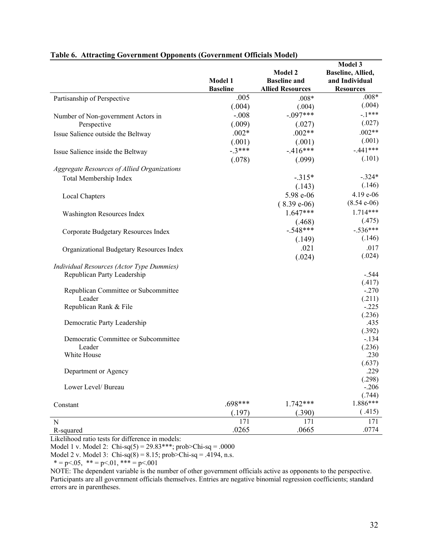|                                             |                 |                         | Model 3            |
|---------------------------------------------|-----------------|-------------------------|--------------------|
|                                             |                 | <b>Model 2</b>          | Baseline, Allied,  |
|                                             | Model 1         | <b>Baseline and</b>     | and Individual     |
|                                             | <b>Baseline</b> | <b>Allied Resources</b> | <b>Resources</b>   |
| Partisanship of Perspective                 | .005            | $.008*$                 | $.008*$            |
|                                             | (.004)          | (.004)                  | (.004)             |
| Number of Non-government Actors in          | $-.008$         | $-.097***$              | $-1***$            |
| Perspective                                 | (.009)          | (.027)                  | (.027)             |
| Issue Salience outside the Beltway          | $.002*$         | $.002**$                | $.002**$           |
|                                             | (.001)          | (.001)                  | (.001)             |
| Issue Salience inside the Beltway           | $-3***$         | $-.416***$              | $-.441***$         |
|                                             | (.078)          | (.099)                  | (.101)             |
| Aggregate Resources of Allied Organizations |                 |                         |                    |
| Total Membership Index                      |                 | $-.315*$                | $-.324*$           |
|                                             |                 | (.143)                  | (.146)             |
|                                             |                 | 5.98 e-06               | 4.19 e-06          |
| Local Chapters                              |                 | $(8.39e-06)$            | $(8.54 e-06)$      |
|                                             |                 | $1.647***$              | $1.714***$         |
| Washington Resources Index                  |                 |                         |                    |
|                                             |                 | (.468)                  | (.475)             |
| Corporate Budgetary Resources Index         |                 | $-.548***$              | $-.536***$         |
|                                             |                 | (.149)                  | (.146)             |
| Organizational Budgetary Resources Index    |                 | .021                    | .017               |
|                                             |                 | (.024)                  | (.024)             |
| Individual Resources (Actor Type Dummies)   |                 |                         |                    |
| Republican Party Leadership                 |                 |                         | $-.544$            |
|                                             |                 |                         | (.417)             |
| Republican Committee or Subcommittee        |                 |                         | $-.270$            |
| Leader                                      |                 |                         | (.211)             |
| Republican Rank & File                      |                 |                         | $-.225$            |
|                                             |                 |                         | (.236)             |
| Democratic Party Leadership                 |                 |                         | .435               |
|                                             |                 |                         | (.392)             |
| Democratic Committee or Subcommittee        |                 |                         | $-.134$            |
| Leader                                      |                 |                         | (.236)             |
| White House                                 |                 |                         | .230               |
|                                             |                 |                         | (.637)             |
| Department or Agency                        |                 |                         | .229               |
|                                             |                 |                         | (.298)             |
| Lower Level/ Bureau                         |                 |                         | $-.206$            |
|                                             |                 |                         | (.744)<br>1.886*** |
| Constant                                    | .698***         | $1.742***$              |                    |
|                                             | (.197)          | (.390)                  | (.415)             |
| N                                           | 171             | 171                     | 171                |
| R-squared                                   | .0265           | .0665                   | .0774              |

#### **Table 6. Attracting Government Opponents (Government Officials Model)**

Likelihood ratio tests for difference in models:

Model 1 v. Model 2:  $Chi-sq(5) = 29.83***; prob>Chi-sq = .0000$ 

Model 2 v. Model 3: Chi-sq $(8) = 8.15$ ; prob>Chi-sq = .4194, n.s.

 $* = p < .05, * = p < .01, ** = p < .001$ 

NOTE: The dependent variable is the number of other government officials active as opponents to the perspective. Participants are all government officials themselves. Entries are negative binomial regression coefficients; standard errors are in parentheses.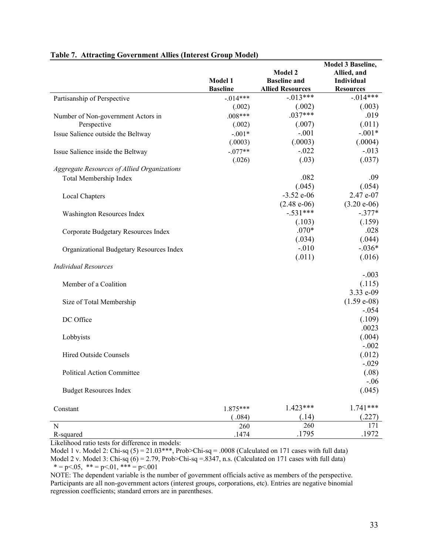|                                             |                 |                         | <b>Model 3 Baseline,</b> |
|---------------------------------------------|-----------------|-------------------------|--------------------------|
|                                             |                 | <b>Model 2</b>          | Allied, and              |
|                                             | Model 1         | <b>Baseline and</b>     | Individual               |
|                                             | <b>Baseline</b> | <b>Allied Resources</b> | <b>Resources</b>         |
| Partisanship of Perspective                 | $-0.014***$     | $-.013***$              | $-.014***$               |
|                                             | (.002)          | (.002)                  | (.003)                   |
| Number of Non-government Actors in          | $.008***$       | $.037***$               | .019                     |
| Perspective                                 | (.002)          | (.007)                  | (.011)                   |
| Issue Salience outside the Beltway          | $-.001*$        | $-.001$                 | $-.001*$                 |
|                                             | (.0003)         | (.0003)                 | (.0004)                  |
| Issue Salience inside the Beltway           | $-.077**$       | $-.022$                 | $-.013$                  |
|                                             | (.026)          | (.03)                   | (.037)                   |
| Aggregate Resources of Allied Organizations |                 |                         |                          |
| Total Membership Index                      |                 | .082                    | .09                      |
|                                             |                 | (.045)                  | (.054)                   |
| Local Chapters                              |                 | $-3.52$ e-06            | 2.47 e-07                |
|                                             |                 | $(2.48 e-06)$           | $(3.20 e-06)$            |
| Washington Resources Index                  |                 | $-.531***$              | $-.377*$                 |
|                                             |                 | (.103)                  | (.159)                   |
| Corporate Budgetary Resources Index         |                 | $.070*$                 | .028                     |
|                                             |                 | (.034)                  | (.044)                   |
| Organizational Budgetary Resources Index    |                 | $-.010$                 | $-.036*$                 |
|                                             |                 | (.011)                  | (.016)                   |
| <b>Individual Resources</b>                 |                 |                         |                          |
|                                             |                 |                         | $-.003$                  |
| Member of a Coalition                       |                 |                         | (.115)                   |
|                                             |                 |                         | 3.33 e-09                |
| Size of Total Membership                    |                 |                         | $(1.59 e-08)$            |
|                                             |                 |                         | $-.054$                  |
| DC Office                                   |                 |                         | (.109)                   |
|                                             |                 |                         | .0023                    |
| Lobbyists                                   |                 |                         | (.004)                   |
|                                             |                 |                         | $-.002$                  |
| <b>Hired Outside Counsels</b>               |                 |                         | (.012)                   |
|                                             |                 |                         | $-.029$                  |
| Political Action Committee                  |                 |                         | (.08)                    |
|                                             |                 |                         | $-.06$                   |
| <b>Budget Resources Index</b>               |                 |                         | (.045)                   |
| Constant                                    | $1.875***$      | $1.423***$              | $1.741***$               |
|                                             | (.084)          | (.14)                   | (.227)                   |
| N                                           | 260             | 260                     | 171                      |
| R-squared                                   | .1474           | .1795                   | .1972                    |

#### **Table 7. Attracting Government Allies (Interest Group Model)**

Likelihood ratio tests for difference in models:

Model 1 v. Model 2: Chi-sq  $(5) = 21.03$ \*\*\*, Prob>Chi-sq = .0008 (Calculated on 171 cases with full data) Model 2 v. Model 3: Chi-sq  $(6) = 2.79$ , Prob>Chi-sq =.8347, n.s. (Calculated on 171 cases with full data)  $* = p < .05, * = p < .01, ** = p < .001$ 

NOTE: The dependent variable is the number of government officials active as members of the perspective. Participants are all non-government actors (interest groups, corporations, etc). Entries are negative binomial regression coefficients; standard errors are in parentheses.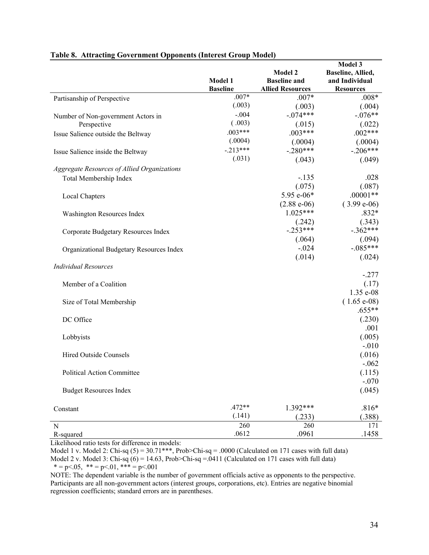|                                             |                 |                         | Model 3           |
|---------------------------------------------|-----------------|-------------------------|-------------------|
|                                             |                 | <b>Model 2</b>          | Baseline, Allied, |
|                                             | Model 1         | <b>Baseline and</b>     | and Individual    |
|                                             | <b>Baseline</b> | <b>Allied Resources</b> | <b>Resources</b>  |
| Partisanship of Perspective                 | $.007*$         | $.007*$                 | $.008*$           |
|                                             | (.003)          | (.003)                  | (.004)            |
| Number of Non-government Actors in          | $-.004$         | $-.074***$              | $-.076**$         |
| Perspective                                 | (.003)          | (.015)                  | (.022)            |
| Issue Salience outside the Beltway          | $.003***$       | $.003***$               | $.002***$         |
|                                             | (.0004)         | (.0004)                 | (.0004)           |
| Issue Salience inside the Beltway           | $-.213***$      | $-.280***$              | $-.206***$        |
|                                             | (.031)          | (.043)                  | (.049)            |
| Aggregate Resources of Allied Organizations |                 |                         |                   |
| Total Membership Index                      |                 | $-.135$                 | .028              |
|                                             |                 | (.075)                  | (.087)            |
| Local Chapters                              |                 | 5.95 e-06*              | $.00001**$        |
|                                             |                 | $(2.88 e-06)$           | $(3.99 e-06)$     |
| Washington Resources Index                  |                 | $1.025***$              | $.832*$           |
|                                             |                 | (.242)                  | (.343)            |
| Corporate Budgetary Resources Index         |                 | $-.253***$              | $-.362***$        |
|                                             |                 | (.064)                  | (.094)            |
|                                             |                 | $-.024$                 | $-.085***$        |
| Organizational Budgetary Resources Index    |                 | (.014)                  | (.024)            |
| <b>Individual Resources</b>                 |                 |                         |                   |
|                                             |                 |                         | $-.277$           |
| Member of a Coalition                       |                 |                         | (.17)             |
|                                             |                 |                         | 1.35 e-08         |
| Size of Total Membership                    |                 |                         | $(1.65 e-08)$     |
|                                             |                 |                         | $.655**$          |
| DC Office                                   |                 |                         | (.230)            |
|                                             |                 |                         | .001              |
| Lobbyists                                   |                 |                         | (.005)            |
|                                             |                 |                         | $-.010$           |
| <b>Hired Outside Counsels</b>               |                 |                         | (.016)            |
|                                             |                 |                         | $-.062$           |
| Political Action Committee                  |                 |                         | (.115)            |
|                                             |                 |                         | $-.070$           |
| <b>Budget Resources Index</b>               |                 |                         | (.045)            |
|                                             |                 |                         |                   |
| Constant                                    | $.472**$        | 1.392***                | $.816*$           |
|                                             | (.141)          | (.233)                  | (.388)            |
| N                                           | 260             | 260                     | 171               |
| R-squared                                   | .0612           | .0961                   | .1458             |

#### **Table 8. Attracting Government Opponents (Interest Group Model)**

Likelihood ratio tests for difference in models:

Model 1 v. Model 2: Chi-sq  $(5) = 30.71$ \*\*\*, Prob>Chi-sq = .0000 (Calculated on 171 cases with full data) Model 2 v. Model 3: Chi-sq  $(6) = 14.63$ , Prob>Chi-sq = 0411 (Calculated on 171 cases with full data)  $* = p < .05, * = p < .01, ** = p < .001$ 

NOTE: The dependent variable is the number of government officials active as opponents to the perspective. Participants are all non-government actors (interest groups, corporations, etc). Entries are negative binomial regression coefficients; standard errors are in parentheses.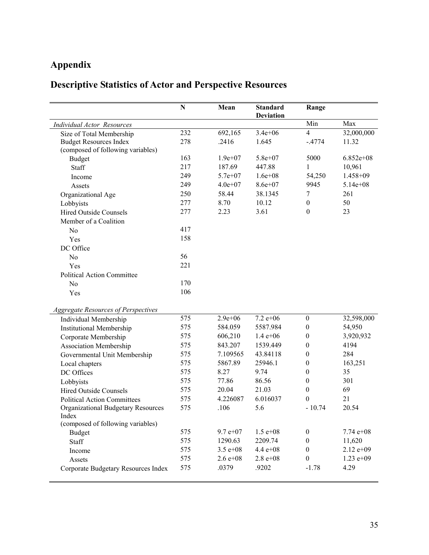# **Appendix**

# **Descriptive Statistics of Actor and Perspective Resources**

|                                            | $\mathbf N$ | Mean         | <b>Standard</b><br><b>Deviation</b> | Range            |              |
|--------------------------------------------|-------------|--------------|-------------------------------------|------------------|--------------|
| Individual Actor Resources                 |             |              |                                     | Min              | Max          |
| Size of Total Membership                   | 232         | 692,165      | $3.4e + 06$                         | $\overline{4}$   | 32,000,000   |
| <b>Budget Resources Index</b>              | 278         | .2416        | 1.645                               | $-.4774$         | 11.32        |
| (composed of following variables)          |             |              |                                     |                  |              |
| <b>Budget</b>                              | 163         | $1.9e+07$    | $5.8e + 07$                         | 5000             | $6.852e+08$  |
| Staff                                      | 217         | 187.69       | 447.88                              | 1                | 10,961       |
| Income                                     | 249         | $5.7e + 07$  | $1.6e + 08$                         | 54,250           | 1.458+09     |
| Assets                                     | 249         | $4.0e + 07$  | 8.6e+07                             | 9945             | $5.14e + 08$ |
| Organizational Age                         | 250         | 58.44        | 38.1345                             | $\tau$           | 261          |
| Lobbyists                                  | 277         | 8.70         | 10.12                               | $\boldsymbol{0}$ | 50           |
| <b>Hired Outside Counsels</b>              | 277         | 2.23         | 3.61                                | $\boldsymbol{0}$ | 23           |
| Member of a Coalition                      |             |              |                                     |                  |              |
| No                                         | 417         |              |                                     |                  |              |
| Yes                                        | 158         |              |                                     |                  |              |
| DC Office                                  |             |              |                                     |                  |              |
| No                                         | 56          |              |                                     |                  |              |
| Yes                                        | 221         |              |                                     |                  |              |
| <b>Political Action Committee</b>          |             |              |                                     |                  |              |
| No                                         | 170         |              |                                     |                  |              |
| Yes                                        | 106         |              |                                     |                  |              |
| <b>Aggregate Resources of Perspectives</b> |             |              |                                     |                  |              |
| Individual Membership                      | 575         | $2.9e + 06$  | $\overline{7.2}$ e+06               | $\boldsymbol{0}$ | 32,598,000   |
| <b>Institutional Membership</b>            | 575         | 584.059      | 5587.984                            | $\boldsymbol{0}$ | 54,950       |
| Corporate Membership                       | 575         | 606,210      | $1.4 e + 06$                        | $\boldsymbol{0}$ | 3,920,932    |
| <b>Association Membership</b>              | 575         | 843.207      | 1539.449                            | $\boldsymbol{0}$ | 4194         |
| Governmental Unit Membership               | 575         | 7.109565     | 43.84118                            | $\boldsymbol{0}$ | 284          |
| Local chapters                             | 575         | 5867.89      | 25946.1                             | $\boldsymbol{0}$ | 163,251      |
| DC Offices                                 | 575         | 8.27         | 9.74                                | $\boldsymbol{0}$ | 35           |
| Lobbyists                                  | 575         | 77.86        | 86.56                               | $\boldsymbol{0}$ | 301          |
| <b>Hired Outside Counsels</b>              | 575         | 20.04        | 21.03                               | $\boldsymbol{0}$ | 69           |
| <b>Political Action Committees</b>         | 575         | 4.226087     | 6.016037                            | $\theta$         | 21           |
| Organizational Budgetary Resources         | 575         | .106         | 5.6                                 | $-10.74$         | 20.54        |
| Index                                      |             |              |                                     |                  |              |
| (composed of following variables)          |             |              |                                     |                  |              |
| Budget                                     | 575         | $9.7 e + 07$ | $1.5 e + 08$                        | $\boldsymbol{0}$ | 7.74 $e+08$  |
| Staff                                      | 575         | 1290.63      | 2209.74                             | $\boldsymbol{0}$ | 11,620       |
| Income                                     | 575         | $3.5 e + 08$ | $4.4 e + 08$                        | $\boldsymbol{0}$ | $2.12 e+09$  |
| Assets                                     | 575         | $2.6 e + 08$ | $2.8 e + 0.8$                       | $\boldsymbol{0}$ | $1.23 e+09$  |
| Corporate Budgetary Resources Index        | 575         | .0379        | .9202                               | $-1.78$          | 4.29         |